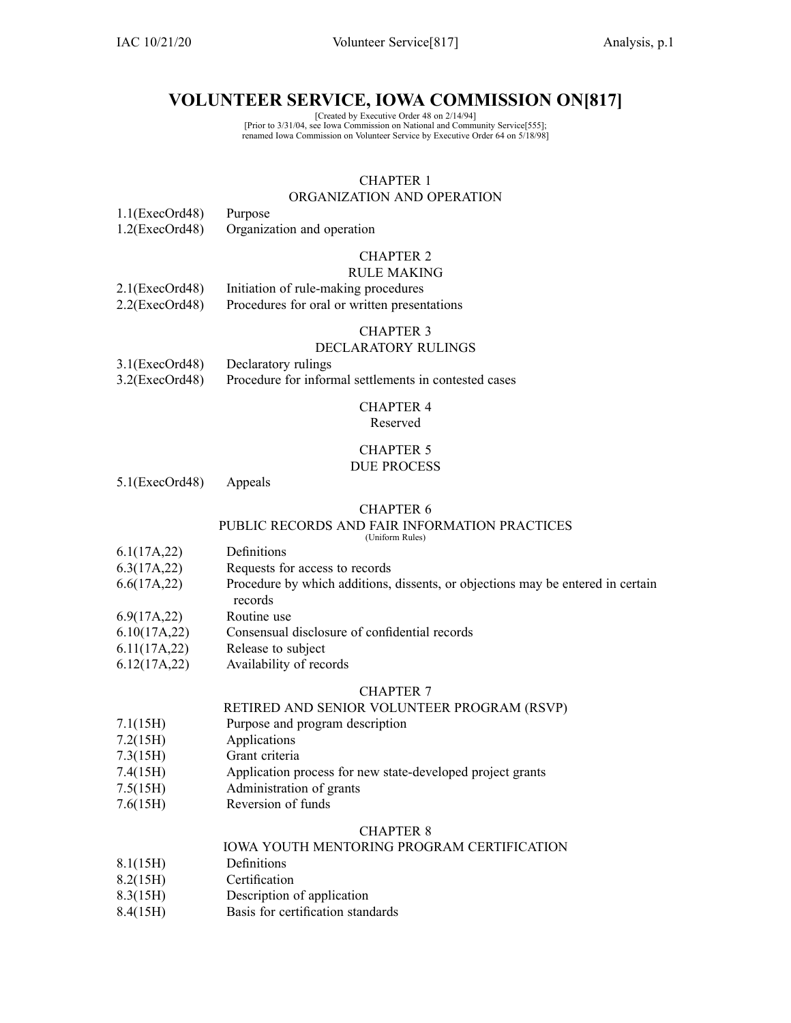IAC 10/21/20 Volunteer Service[817] Analysis, p.1

# **VOLUNTEER SERVICE, IOWA COMMISSION ON[817]**

[Created by Executive Order 48 on 2/14/94] [Prior to 3/31/04, see Iowa Commission on National and Community Service[555]; renamed Iowa Commission on Volunteer Service by Executive Order 64 on 5/18/98]

# CHAPTER 1

## ORGANIZATION AND OPERATION

1.1(ExecOrd48) Purpose 1.2(ExecOrd48) Organization and operation

# CHAPTER 2

#### RULE MAKING

| $2.1$ (ExecOrd48) | Initiation of rule-making procedures         |
|-------------------|----------------------------------------------|
| $2.2$ (ExecOrd48) | Procedures for oral or written presentations |

#### CHAPTER 3

#### DECLARATORY RULINGS

| $3.1$ (ExecOrd48) | Declaratory rulings                                   |
|-------------------|-------------------------------------------------------|
| $3.2$ (ExecOrd48) | Procedure for informal settlements in contested cases |

#### CHAPTER 4 Reserved

#### CHAPTER 5 DUE PROCESS

5.1(ExecOrd48) Appeals

#### CHAPTER 6

## PUBLIC RECORDS AND FAIR INFORMATION PRACTICES

(Uniform Rules)

- 6.1(17A,22) Definitions
- 6.3(17A,22) Requests for access to records
- 6.6(17A,22) Procedure by which additions, dissents, or objections may be entered in certain
- records
- 6.9(17A,22) Routine use
- 6.10(17A,22) Consensual disclosure of confidential records
- 6.11(17A,22) Release to subject
- 6.12(17A,22) Availability of records

## CHAPTER 7

#### RETIRED AND SENIOR VOLUNTEER PROGRAM (RSVP)

- 7.1(15H) Purpose and program description
- 7.2(15H) Applications
- 7.3(15H) Grant criteria
- 7.4(15H) Application process for new state-developed project grants
- 7.5(15H) Administration of grants
- 7.6(15H) Reversion of funds

#### CHAPTER 8

# IOWA YOUTH MENTORING PROGRAM CERTIFICATION

- 8.1(15H) Definitions
- 8.2(15H) Certification
- 8.3(15H) Description of application
- 8.4(15H) Basis for certification standards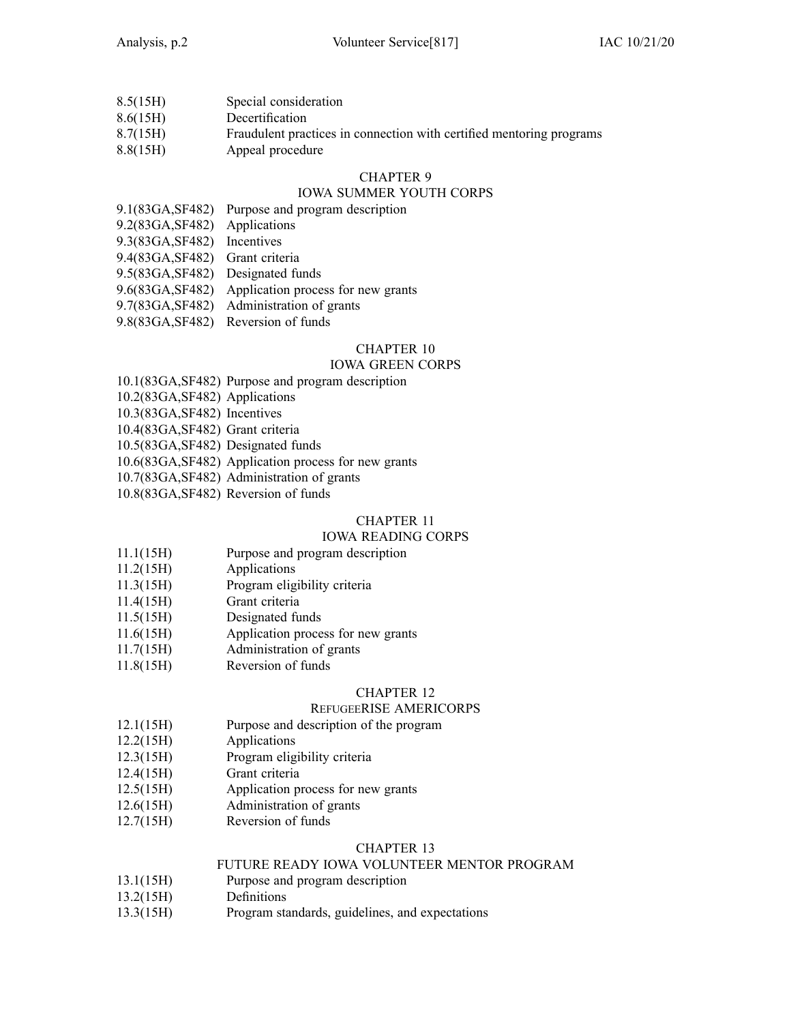| 8.5(15H) | Special consideration                                                |
|----------|----------------------------------------------------------------------|
| 8.6(15H) | Decertification                                                      |
| 8.7(15H) | Fraudulent practices in connection with certified mentoring programs |
| 8.8(15H) | Appeal procedure                                                     |

# IOWA SUMMER YOUTH CORPS

- 9.1(83GA,SF482) Purpose and program description
- 9.2(83GA,SF482) Applications
- 9.3(83GA,SF482) Incentives
- 9.4(83GA,SF482) Grant criteria
- 9.5(83GA,SF482) Designated funds
- 9.6(83GA,SF482) Application process for new grants
- 9.7(83GA,SF482) Administration of grants
- 9.8(83GA,SF482) Reversion of funds

# CHAPTER 10

#### IOWA GREEN CORPS

- 10.1(83GA,SF482) Purpose and program description
- 10.2(83GA,SF482) Applications
- 10.3(83GA,SF482) Incentives
- 10.4(83GA,SF482) Grant criteria
- 10.5(83GA,SF482) Designated funds
- 10.6(83GA,SF482) Application process for new grants
- 10.7(83GA,SF482) Administration of grants
- 10.8(83GA,SF482) Reversion of funds

## CHAPTER 11

#### IOWA READING CORPS

- 11.1(15H) Purpose and program description
- 11.2(15H) Applications
- 11.3(15H) Program eligibility criteria
- 11.4(15H) Grant criteria
- 11.5(15H) Designated funds
- 11.6(15H) Application process for new grants
- 11.7(15H) Administration of grants
- 11.8(15H) Reversion of funds

## CHAPTER 12

## REFUGEERISE AMERICORPS

- 12.1(15H) Purpose and description of the program
- 12.2(15H) Applications
- 12.3(15H) Program eligibility criteria
- 12.4(15H) Grant criteria
- 12.5(15H) Application process for new grants
- 12.6(15H) Administration of grants
- 12.7(15H) Reversion of funds

#### CHAPTER 13

## FUTURE READY IOWA VOLUNTEER MENTOR PROGRAM

- 13.1(15H) Purpose and program description
- 13.2(15H) Definitions
- 13.3(15H) Program standards, guidelines, and expectations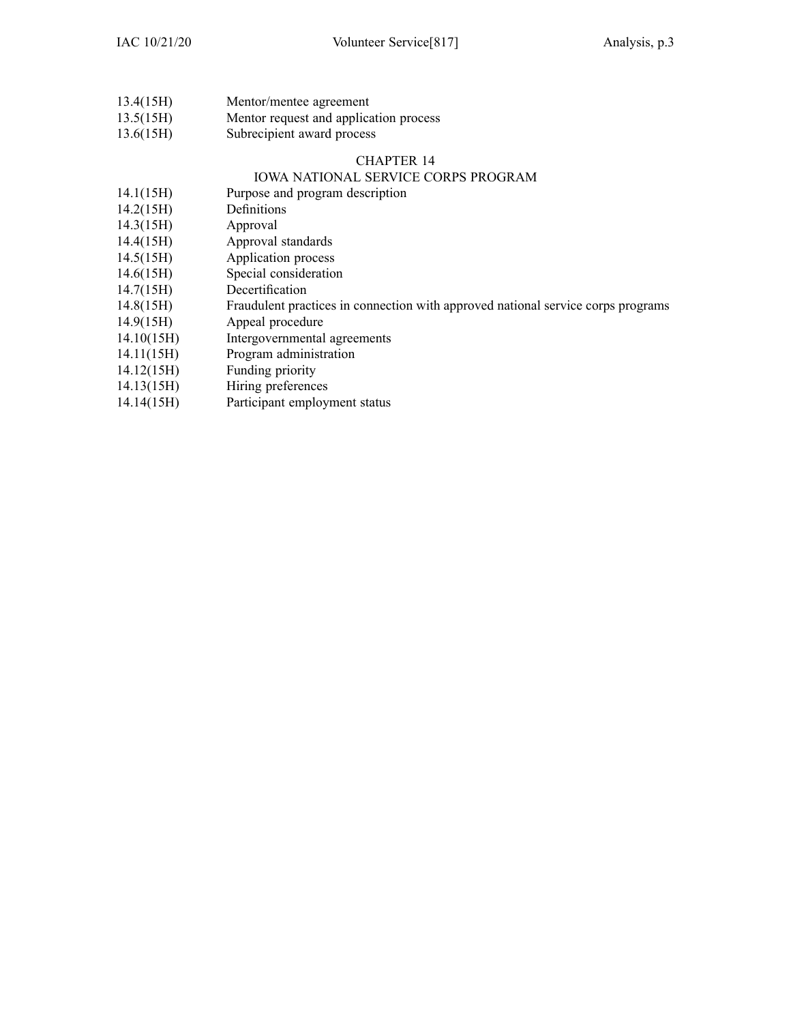| 13.4(15H) | Mentor/mentee agreement            |  |  |  |
|-----------|------------------------------------|--|--|--|
| 13.5(15H) | Mentor request and application pro |  |  |  |

- 13.5(15H) Mentor reques<sup>t</sup> and application process 13.6(15H) Subrecipient award process
	-

# IOWA NATIONAL SERVICE CORPS PROGRAM

- 14.1(15H) Purpose and program description
- 14.2(15H) Definitions
- 14.3(15H) Approval
- 14.4(15H) Approval standards
- 14.5(15H) Application process
- 14.6(15H) Special consideration
- 14.7(15H) Decertification
- 14.8(15H) Fraudulent practices in connection with approved national service corps programs
- 14.9(15H) Appeal procedure
- 14.10(15H) Intergovernmental agreements
- 14.11(15H) Program administration
- 14.12(15H) Funding priority
- 14.13(15H) Hiring preferences
- 14.14(15H) Participant employment status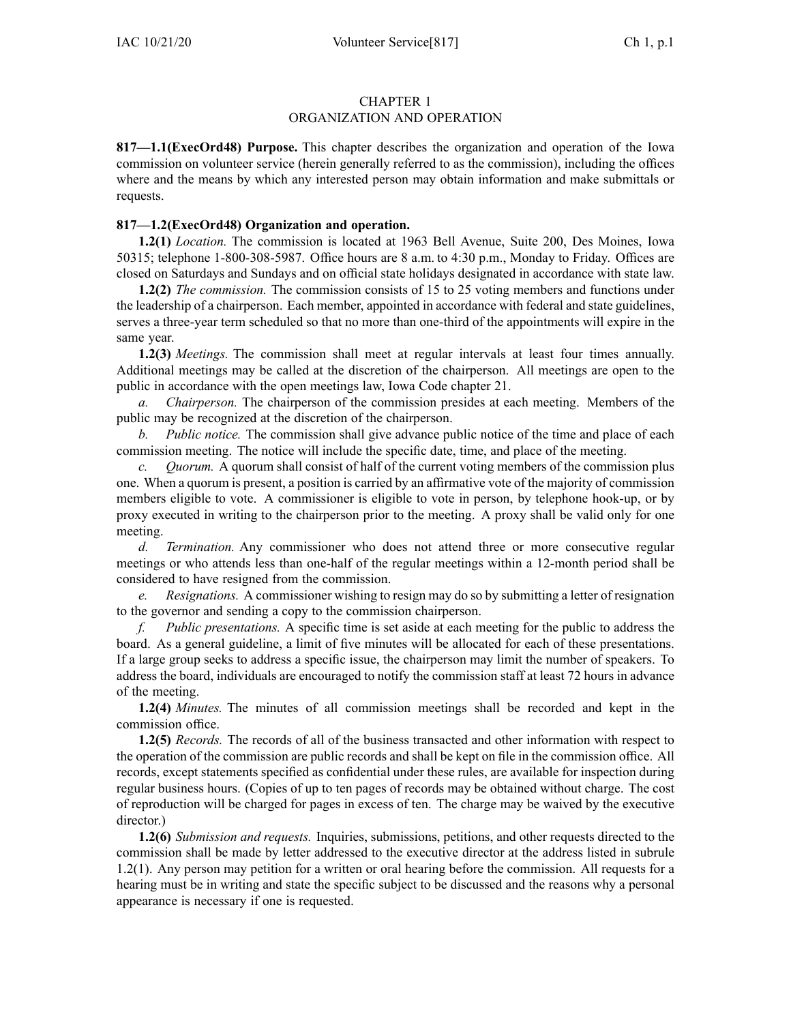## ORGANIZATION AND OPERATION

**817—1.1(ExecOrd48) Purpose.** This chapter describes the organization and operation of the Iowa commission on volunteer service (herein generally referred to as the commission), including the offices where and the means by which any interested person may obtain information and make submittals or requests.

## **817—1.2(ExecOrd48) Organization and operation.**

**1.2(1)** *Location.* The commission is located at 1963 Bell Avenue, Suite 200, Des Moines, Iowa 50315; telephone 1-800-308-5987. Office hours are 8 a.m. to 4:30 p.m., Monday to Friday. Offices are closed on Saturdays and Sundays and on official state holidays designated in accordance with state law.

**1.2(2)** *The commission.* The commission consists of 15 to 25 voting members and functions under the leadership of <sup>a</sup> chairperson. Each member, appointed in accordance with federal and state guidelines, serves <sup>a</sup> three-year term scheduled so that no more than one-third of the appointments will expire in the same year.

**1.2(3)** *Meetings.* The commission shall meet at regular intervals at least four times annually. Additional meetings may be called at the discretion of the chairperson. All meetings are open to the public in accordance with the open meetings law, Iowa Code chapter [21](https://www.legis.iowa.gov/docs/ico/chapter/21.pdf).

*a. Chairperson.* The chairperson of the commission presides at each meeting. Members of the public may be recognized at the discretion of the chairperson.

*b. Public notice.* The commission shall give advance public notice of the time and place of each commission meeting. The notice will include the specific date, time, and place of the meeting.

*c. Quorum.* A quorum shall consist of half of the current voting members of the commission plus one. When <sup>a</sup> quorum is present, <sup>a</sup> position is carried by an affirmative vote of the majority of commission members eligible to vote. A commissioner is eligible to vote in person, by telephone hook-up, or by proxy executed in writing to the chairperson prior to the meeting. A proxy shall be valid only for one meeting.

*d. Termination.* Any commissioner who does not attend three or more consecutive regular meetings or who attends less than one-half of the regular meetings within <sup>a</sup> 12-month period shall be considered to have resigned from the commission.

*e. Resignations.* A commissioner wishing to resign may do so by submitting <sup>a</sup> letter of resignation to the governor and sending <sup>a</sup> copy to the commission chairperson.

*f. Public presentations.* A specific time is set aside at each meeting for the public to address the board. As <sup>a</sup> general guideline, <sup>a</sup> limit of five minutes will be allocated for each of these presentations. If <sup>a</sup> large group seeks to address <sup>a</sup> specific issue, the chairperson may limit the number of speakers. To address the board, individuals are encouraged to notify the commission staff at least 72 hours in advance of the meeting.

**1.2(4)** *Minutes.* The minutes of all commission meetings shall be recorded and kept in the commission office.

**1.2(5)** *Records.* The records of all of the business transacted and other information with respec<sup>t</sup> to the operation of the commission are public records and shall be kept on file in the commission office. All records, excep<sup>t</sup> statements specified as confidential under these rules, are available for inspection during regular business hours. (Copies of up to ten pages of records may be obtained without charge. The cost of reproduction will be charged for pages in excess of ten. The charge may be waived by the executive director.)

**1.2(6)** *Submission and requests.* Inquiries, submissions, petitions, and other requests directed to the commission shall be made by letter addressed to the executive director at the address listed in subrule [1.2\(1\)](https://www.legis.iowa.gov/docs/iac/rule/817.1.2.pdf). Any person may petition for <sup>a</sup> written or oral hearing before the commission. All requests for <sup>a</sup> hearing must be in writing and state the specific subject to be discussed and the reasons why <sup>a</sup> personal appearance is necessary if one is requested.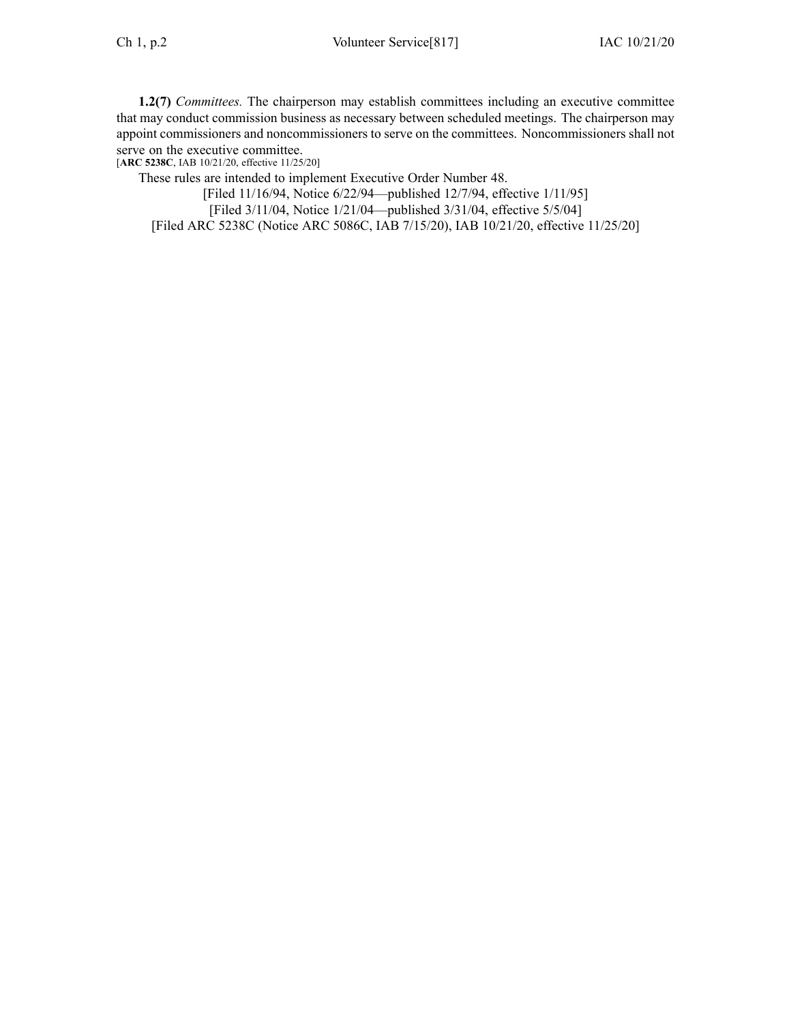**1.2(7)** *Committees.* The chairperson may establish committees including an executive committee that may conduct commission business as necessary between scheduled meetings. The chairperson may appoint commissioners and noncommissioners to serve on the committees. Noncommissioners shall not serve on the executive committee.

[**ARC [5238C](https://www.legis.iowa.gov/docs/aco/arc/5238C.pdf)**, IAB 10/21/20, effective 11/25/20]

These rules are intended to implement Executive Order Number 48.

[Filed 11/16/94, Notice 6/22/94—published 12/7/94, effective 1/11/95]

[Filed 3/11/04, Notice 1/21/04—published 3/31/04, effective 5/5/04]

[Filed ARC [5238C](https://www.legis.iowa.gov/docs/aco/arc/5238C.pdf) ([Notice](https://www.legis.iowa.gov/docs/aco/arc/5086C.pdf) ARC 5086C, IAB 7/15/20), IAB 10/21/20, effective 11/25/20]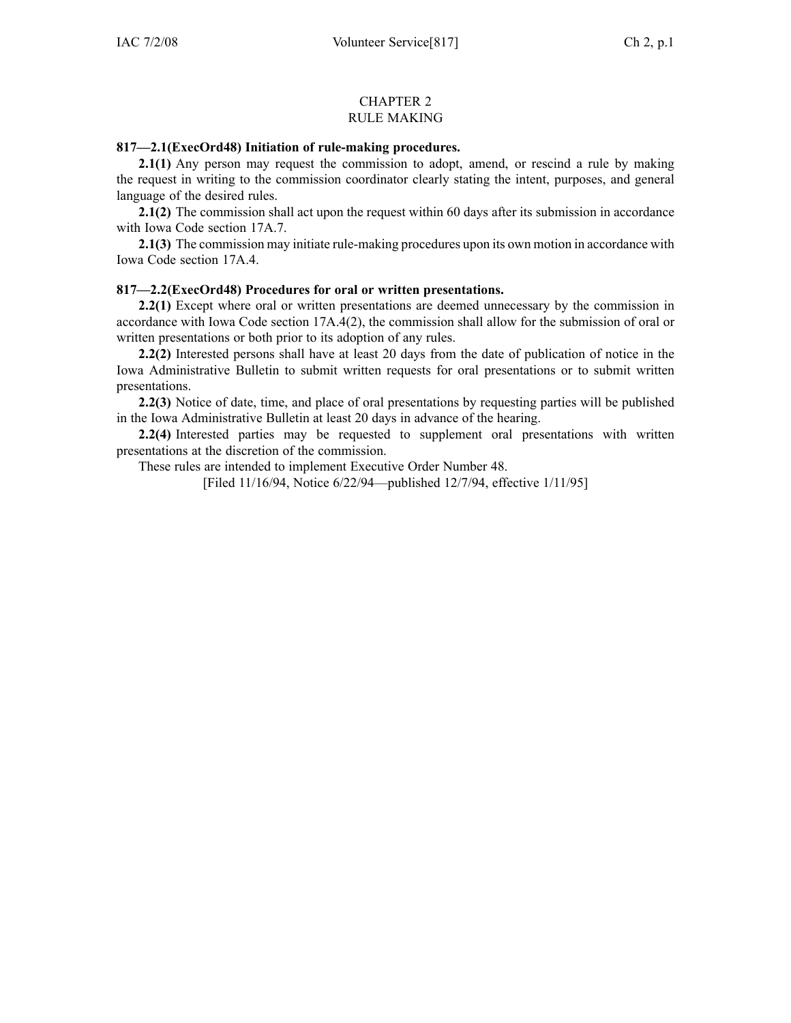#### CHAPTER 2 RULE MAKING

#### **817—2.1(ExecOrd48) Initiation of rule-making procedures.**

**2.1(1)** Any person may reques<sup>t</sup> the commission to adopt, amend, or rescind <sup>a</sup> rule by making the reques<sup>t</sup> in writing to the commission coordinator clearly stating the intent, purposes, and general language of the desired rules.

**2.1(2)** The commission shall act upon the reques<sup>t</sup> within 60 days after its submission in accordance with Iowa Code section [17A.7](https://www.legis.iowa.gov/docs/ico/section/17A.7.pdf).

**2.1(3)** The commission may initiate rule-making procedures upon its own motion in accordance with Iowa Code section [17A.4](https://www.legis.iowa.gov/docs/ico/section/17A.4.pdf).

## **817—2.2(ExecOrd48) Procedures for oral or written presentations.**

**2.2(1)** Except where oral or written presentations are deemed unnecessary by the commission in accordance with Iowa Code section [17A.4\(2\)](https://www.legis.iowa.gov/docs/ico/section/17A.4.pdf), the commission shall allow for the submission of oral or written presentations or both prior to its adoption of any rules.

**2.2(2)** Interested persons shall have at least 20 days from the date of publication of notice in the Iowa Administrative Bulletin to submit written requests for oral presentations or to submit written presentations.

**2.2(3)** Notice of date, time, and place of oral presentations by requesting parties will be published in the Iowa Administrative Bulletin at least 20 days in advance of the hearing.

**2.2(4)** Interested parties may be requested to supplement oral presentations with written presentations at the discretion of the commission.

These rules are intended to implement Executive Order Number 48.

[Filed 11/16/94, Notice 6/22/94—published 12/7/94, effective 1/11/95]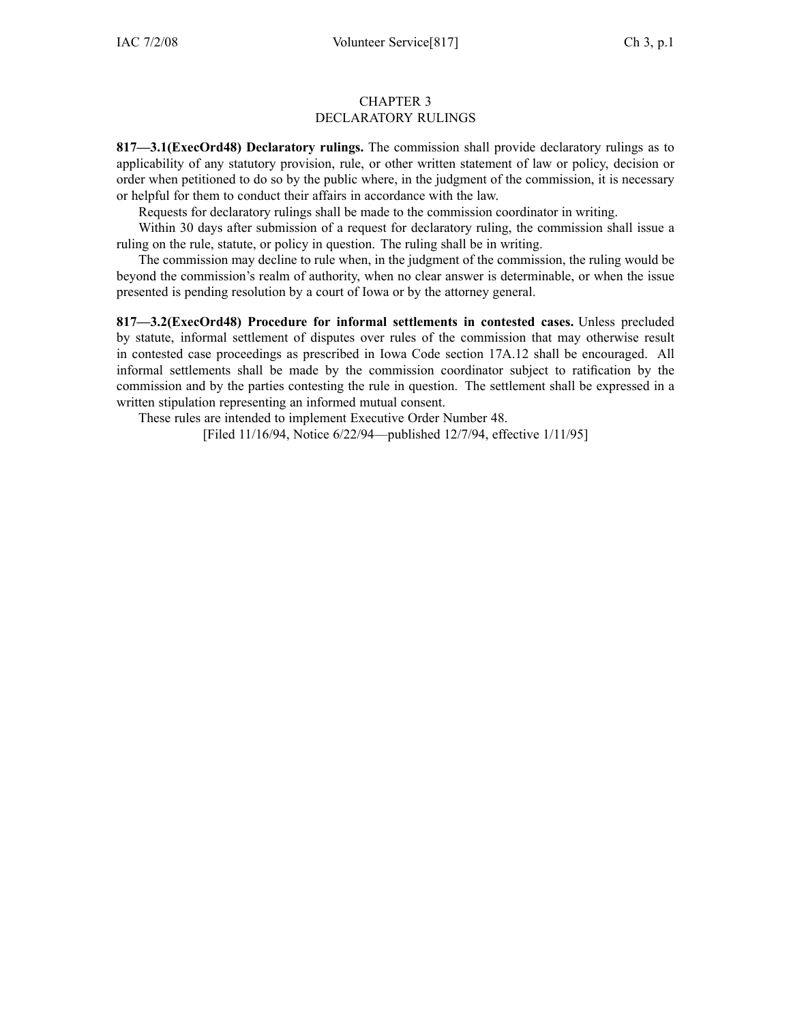#### CHAPTER 3 DECLARATORY RULINGS

**817—3.1(ExecOrd48) Declaratory rulings.** The commission shall provide declaratory rulings as to applicability of any statutory provision, rule, or other written statement of law or policy, decision or order when petitioned to do so by the public where, in the judgment of the commission, it is necessary or helpful for them to conduct their affairs in accordance with the law.

Requests for declaratory rulings shall be made to the commission coordinator in writing.

Within 30 days after submission of <sup>a</sup> reques<sup>t</sup> for declaratory ruling, the commission shall issue <sup>a</sup> ruling on the rule, statute, or policy in question. The ruling shall be in writing.

The commission may decline to rule when, in the judgment of the commission, the ruling would be beyond the commission's realm of authority, when no clear answer is determinable, or when the issue presented is pending resolution by <sup>a</sup> court of Iowa or by the attorney general.

**817—3.2(ExecOrd48) Procedure for informal settlements in contested cases.** Unless precluded by statute, informal settlement of disputes over rules of the commission that may otherwise result in contested case proceedings as prescribed in Iowa Code section [17A.12](https://www.legis.iowa.gov/docs/ico/section/17A.12.pdf) shall be encouraged. All informal settlements shall be made by the commission coordinator subject to ratification by the commission and by the parties contesting the rule in question. The settlement shall be expressed in <sup>a</sup> written stipulation representing an informed mutual consent.

These rules are intended to implement Executive Order Number 48.

[Filed 11/16/94, Notice 6/22/94—published 12/7/94, effective 1/11/95]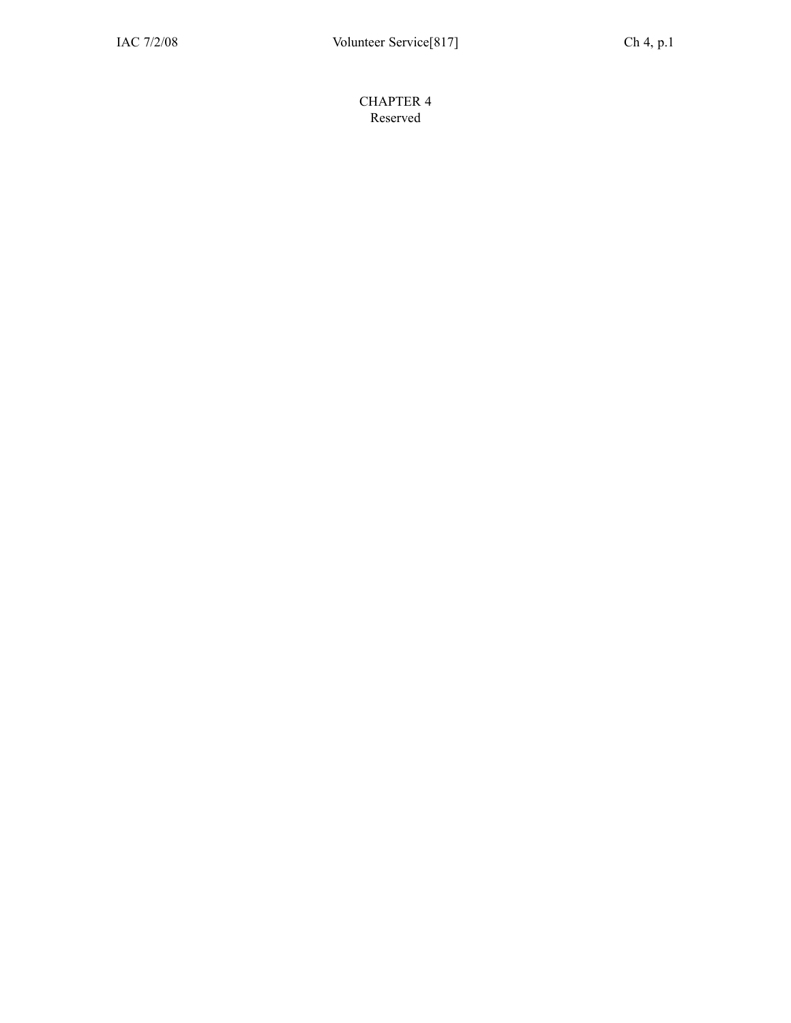CHAPTER 4 Reserved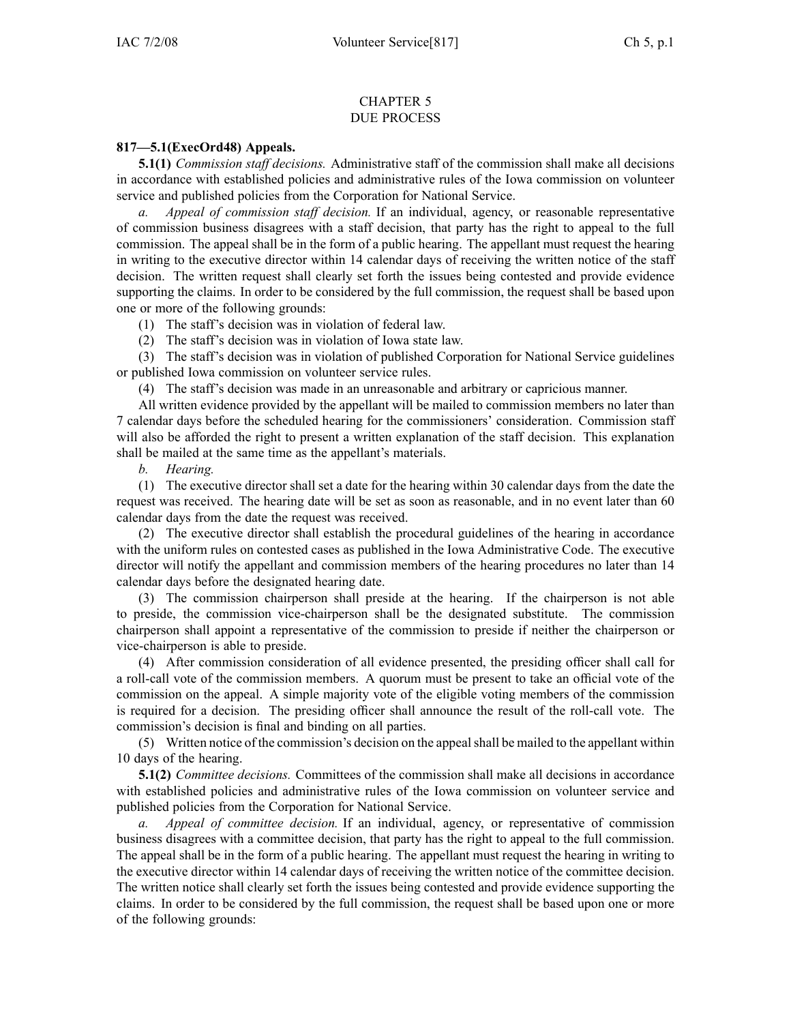#### CHAPTER 5 DUE PROCESS

## **817—5.1(ExecOrd48) Appeals.**

**5.1(1)** *Commission staff decisions.* Administrative staff of the commission shall make all decisions in accordance with established policies and administrative rules of the Iowa commission on volunteer service and published policies from the Corporation for National Service.

*a. Appeal of commission staff decision.* If an individual, agency, or reasonable representative of commission business disagrees with <sup>a</sup> staff decision, that party has the right to appeal to the full commission. The appeal shall be in the form of <sup>a</sup> public hearing. The appellant must reques<sup>t</sup> the hearing in writing to the executive director within 14 calendar days of receiving the written notice of the staff decision. The written reques<sup>t</sup> shall clearly set forth the issues being contested and provide evidence supporting the claims. In order to be considered by the full commission, the reques<sup>t</sup> shall be based upon one or more of the following grounds:

(1) The staff's decision was in violation of federal law.

(2) The staff's decision was in violation of Iowa state law.

(3) The staff's decision was in violation of published Corporation for National Service guidelines or published Iowa commission on volunteer service rules.

(4) The staff's decision was made in an unreasonable and arbitrary or capricious manner.

All written evidence provided by the appellant will be mailed to commission members no later than 7 calendar days before the scheduled hearing for the commissioners' consideration. Commission staff will also be afforded the right to presen<sup>t</sup> <sup>a</sup> written explanation of the staff decision. This explanation shall be mailed at the same time as the appellant's materials.

*b. Hearing.*

(1) The executive director shall set <sup>a</sup> date for the hearing within 30 calendar days from the date the reques<sup>t</sup> was received. The hearing date will be set as soon as reasonable, and in no event later than 60 calendar days from the date the reques<sup>t</sup> was received.

(2) The executive director shall establish the procedural guidelines of the hearing in accordance with the uniform rules on contested cases as published in the Iowa Administrative Code. The executive director will notify the appellant and commission members of the hearing procedures no later than 14 calendar days before the designated hearing date.

(3) The commission chairperson shall preside at the hearing. If the chairperson is not able to preside, the commission vice-chairperson shall be the designated substitute. The commission chairperson shall appoint <sup>a</sup> representative of the commission to preside if neither the chairperson or vice-chairperson is able to preside.

(4) After commission consideration of all evidence presented, the presiding officer shall call for <sup>a</sup> roll-call vote of the commission members. A quorum must be presen<sup>t</sup> to take an official vote of the commission on the appeal. A simple majority vote of the eligible voting members of the commission is required for <sup>a</sup> decision. The presiding officer shall announce the result of the roll-call vote. The commission's decision is final and binding on all parties.

(5) Written notice of the commission's decision on the appealshall be mailed to the appellant within 10 days of the hearing.

**5.1(2)** *Committee decisions.* Committees of the commission shall make all decisions in accordance with established policies and administrative rules of the Iowa commission on volunteer service and published policies from the Corporation for National Service.

*a. Appeal of committee decision.* If an individual, agency, or representative of commission business disagrees with <sup>a</sup> committee decision, that party has the right to appeal to the full commission. The appeal shall be in the form of <sup>a</sup> public hearing. The appellant must reques<sup>t</sup> the hearing in writing to the executive director within 14 calendar days of receiving the written notice of the committee decision. The written notice shall clearly set forth the issues being contested and provide evidence supporting the claims. In order to be considered by the full commission, the reques<sup>t</sup> shall be based upon one or more of the following grounds: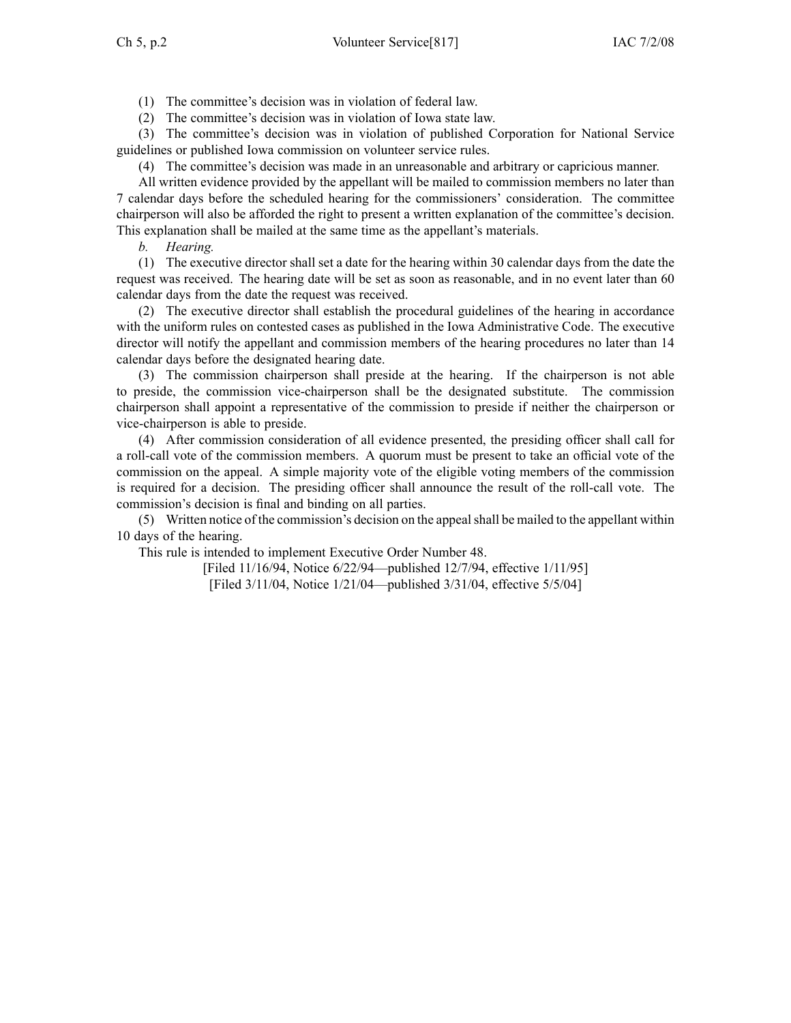(1) The committee's decision was in violation of federal law.

(2) The committee's decision was in violation of Iowa state law.

(3) The committee's decision was in violation of published Corporation for National Service guidelines or published Iowa commission on volunteer service rules.

(4) The committee's decision was made in an unreasonable and arbitrary or capricious manner.

All written evidence provided by the appellant will be mailed to commission members no later than 7 calendar days before the scheduled hearing for the commissioners' consideration. The committee chairperson will also be afforded the right to presen<sup>t</sup> <sup>a</sup> written explanation of the committee's decision. This explanation shall be mailed at the same time as the appellant's materials.

*b. Hearing.*

(1) The executive director shall set <sup>a</sup> date for the hearing within 30 calendar days from the date the reques<sup>t</sup> was received. The hearing date will be set as soon as reasonable, and in no event later than 60 calendar days from the date the reques<sup>t</sup> was received.

(2) The executive director shall establish the procedural guidelines of the hearing in accordance with the uniform rules on contested cases as published in the Iowa Administrative Code. The executive director will notify the appellant and commission members of the hearing procedures no later than 14 calendar days before the designated hearing date.

(3) The commission chairperson shall preside at the hearing. If the chairperson is not able to preside, the commission vice-chairperson shall be the designated substitute. The commission chairperson shall appoint <sup>a</sup> representative of the commission to preside if neither the chairperson or vice-chairperson is able to preside.

(4) After commission consideration of all evidence presented, the presiding officer shall call for <sup>a</sup> roll-call vote of the commission members. A quorum must be presen<sup>t</sup> to take an official vote of the commission on the appeal. A simple majority vote of the eligible voting members of the commission is required for <sup>a</sup> decision. The presiding officer shall announce the result of the roll-call vote. The commission's decision is final and binding on all parties.

(5) Written notice of the commission's decision on the appealshall be mailed to the appellant within 10 days of the hearing.

This rule is intended to implement Executive Order Number 48.

[Filed 11/16/94, Notice 6/22/94—published 12/7/94, effective 1/11/95]

[Filed 3/11/04, Notice 1/21/04—published 3/31/04, effective 5/5/04]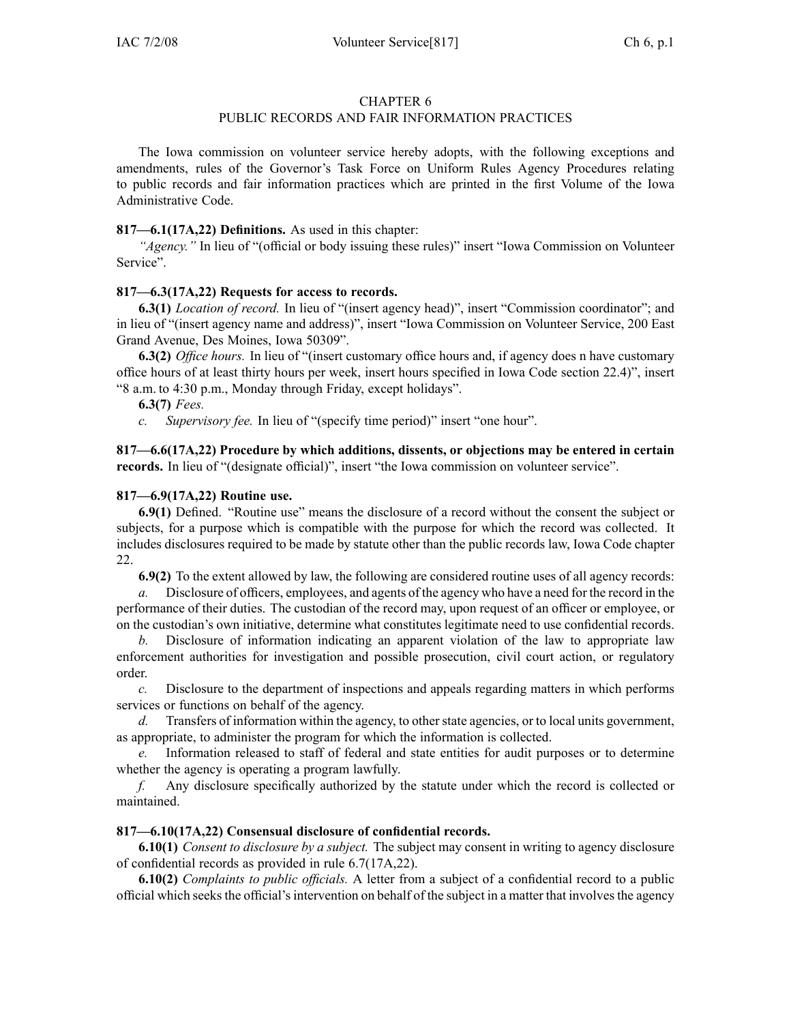# PUBLIC RECORDS AND FAIR INFORMATION PRACTICES

The Iowa commission on volunteer service hereby adopts, with the following exceptions and amendments, rules of the Governor's Task Force on Uniform Rules Agency Procedures relating to public records and fair information practices which are printed in the first Volume of the Iowa Administrative Code.

## **817—6.1(17A,22) Definitions.** As used in this chapter:

*"Agency."* In lieu of "(official or body issuing these rules)" insert "Iowa Commission on Volunteer Service".

## **817—6.3(17A,22) Requests for access to records.**

**6.3(1)** *Location of record.* In lieu of "(insert agency head)", insert "Commission coordinator"; and in lieu of "(insert agency name and address)", insert "Iowa Commission on Volunteer Service, 200 East Grand Avenue, Des Moines, Iowa 50309".

**6.3(2)** *Office hours.* In lieu of "(insert customary office hours and, if agency does <sup>n</sup> have customary office hours of at least thirty hours per week, insert hours specified in Iowa Code section [22.4](https://www.legis.iowa.gov/docs/ico/section/22.4.pdf))", insert "8 a.m. to 4:30 p.m., Monday through Friday, excep<sup>t</sup> holidays".

**6.3(7)** *Fees.*

*c. Supervisory fee.* In lieu of "(specify time period)" insert "one hour".

**817—6.6(17A,22) Procedure by which additions, dissents, or objections may be entered in certain** records. In lieu of "(designate official)", insert "the Iowa commission on volunteer service".

## **817—6.9(17A,22) Routine use.**

**6.9(1)** Defined. "Routine use" means the disclosure of <sup>a</sup> record without the consent the subject or subjects, for <sup>a</sup> purpose which is compatible with the purpose for which the record was collected. It includes disclosures required to be made by statute other than the public records law, Iowa Code chapter [22](https://www.legis.iowa.gov/docs/ico/chapter/22.pdf).

**6.9(2)** To the extent allowed by law, the following are considered routine uses of all agency records:

*a.* Disclosure of officers, employees, and agents of the agency who have <sup>a</sup> need for the record in the performance of their duties. The custodian of the record may, upon reques<sup>t</sup> of an officer or employee, or on the custodian's own initiative, determine what constitutes legitimate need to use confidential records.

*b.* Disclosure of information indicating an apparen<sup>t</sup> violation of the law to appropriate law enforcement authorities for investigation and possible prosecution, civil court action, or regulatory order.

*c.* Disclosure to the department of inspections and appeals regarding matters in which performs services or functions on behalf of the agency.

*d.* Transfers of information within the agency, to other state agencies, or to local units government, as appropriate, to administer the program for which the information is collected.

*e.* Information released to staff of federal and state entities for audit purposes or to determine whether the agency is operating <sup>a</sup> program lawfully.

*f.* Any disclosure specifically authorized by the statute under which the record is collected or maintained.

## **817—6.10(17A,22) Consensual disclosure of confidential records.**

**6.10(1)** *Consent to disclosure by <sup>a</sup> subject.* The subject may consent in writing to agency disclosure of confidential records as provided in rule [6.7](https://www.legis.iowa.gov/docs/iac/rule/817.6.7.pdf)(17A,22).

**6.10(2)** *Complaints to public officials.* A letter from <sup>a</sup> subject of <sup>a</sup> confidential record to <sup>a</sup> public official which seeksthe official'sintervention on behalf of the subject in <sup>a</sup> matter that involvesthe agency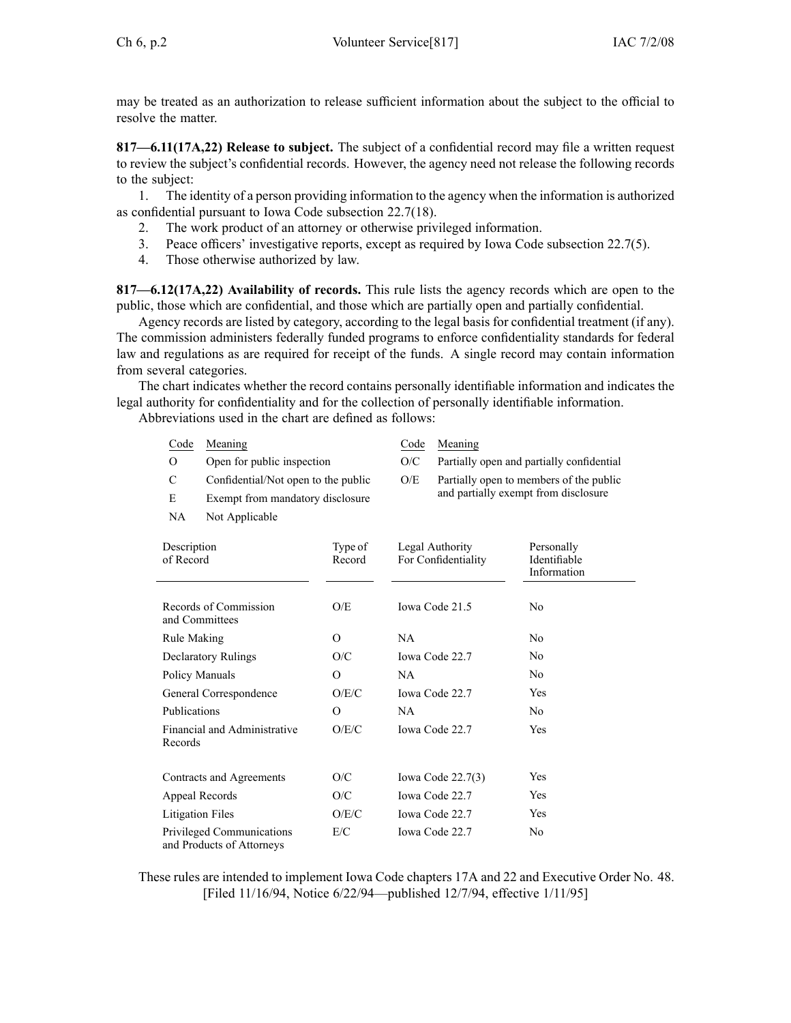may be treated as an authorization to release sufficient information about the subject to the official to resolve the matter.

**817—6.11(17A,22) Release to subject.** The subject of <sup>a</sup> confidential record may file <sup>a</sup> written reques<sup>t</sup> to review the subject's confidential records. However, the agency need not release the following records to the subject:

1. The identity of <sup>a</sup> person providing information to the agency when the information is authorized as confidential pursuan<sup>t</sup> to Iowa Code subsection [22.7\(18\)](https://www.legis.iowa.gov/docs/ico/section/22.7.pdf).

- 2. The work product of an attorney or otherwise privileged information.
- 3. Peace officers' investigative reports, excep<sup>t</sup> as required by Iowa Code subsection [22.7\(5\)](https://www.legis.iowa.gov/docs/ico/section/22.7.pdf).
- 4. Those otherwise authorized by law.

**817—6.12(17A,22) Availability of records.** This rule lists the agency records which are open to the public, those which are confidential, and those which are partially open and partially confidential.

Agency records are listed by category, according to the legal basis for confidential treatment (if any). The commission administers federally funded programs to enforce confidentiality standards for federal law and regulations as are required for receipt of the funds. A single record may contain information from several categories.

The chart indicates whether the record contains personally identifiable information and indicates the legal authority for confidentiality and for the collection of personally identifiable information.

Abbreviations used in the chart are defined as follows:

| Code                                                   | Meaning                             |                   | Code                                   | Meaning                                   |                                           |  |  |
|--------------------------------------------------------|-------------------------------------|-------------------|----------------------------------------|-------------------------------------------|-------------------------------------------|--|--|
| O                                                      | Open for public inspection          |                   | O/C                                    | Partially open and partially confidential |                                           |  |  |
| C                                                      | Confidential/Not open to the public |                   | O/E                                    |                                           | Partially open to members of the public   |  |  |
| E                                                      | Exempt from mandatory disclosure    |                   |                                        | and partially exempt from disclosure      |                                           |  |  |
| NA.                                                    | Not Applicable                      |                   |                                        |                                           |                                           |  |  |
| Description<br>of Record                               |                                     | Type of<br>Record | Legal Authority<br>For Confidentiality |                                           | Personally<br>Identifiable<br>Information |  |  |
| and Committees                                         | Records of Commission               | O/E               | Iowa Code 21.5                         |                                           | N <sub>0</sub>                            |  |  |
| Rule Making                                            |                                     | $\Omega$          | <b>NA</b>                              |                                           | N <sub>0</sub>                            |  |  |
| <b>Declaratory Rulings</b>                             |                                     | O/C               | Iowa Code 22.7                         |                                           | No                                        |  |  |
| Policy Manuals                                         |                                     | $\Omega$          | <b>NA</b>                              |                                           | No                                        |  |  |
| General Correspondence                                 |                                     | O/E/C             | Iowa Code 22.7                         |                                           | Yes                                       |  |  |
| Publications                                           |                                     | $\Omega$          | <b>NA</b>                              |                                           | N <sub>0</sub>                            |  |  |
| Financial and Administrative<br>Records                |                                     | O/E/C             | Iowa Code 22.7                         |                                           | Yes                                       |  |  |
|                                                        | Contracts and Agreements            | O/C               |                                        | Iowa Code $22.7(3)$                       | Yes                                       |  |  |
| Appeal Records                                         |                                     | O/C               | Iowa Code 22.7                         |                                           | Yes                                       |  |  |
| Litigation Files                                       |                                     | O/E/C             | Iowa Code 22.7                         |                                           | Yes                                       |  |  |
| Privileged Communications<br>and Products of Attorneys |                                     | E/C               |                                        | <b>Iowa Code 22.7</b>                     | No                                        |  |  |

These rules are intended to implement Iowa Code chapters [17A](https://www.legis.iowa.gov/docs/ico/chapter/17A.pdf) and [22](https://www.legis.iowa.gov/docs/ico/chapter/22.pdf) and Executive Order No. 48. [Filed 11/16/94, Notice 6/22/94—published 12/7/94, effective 1/11/95]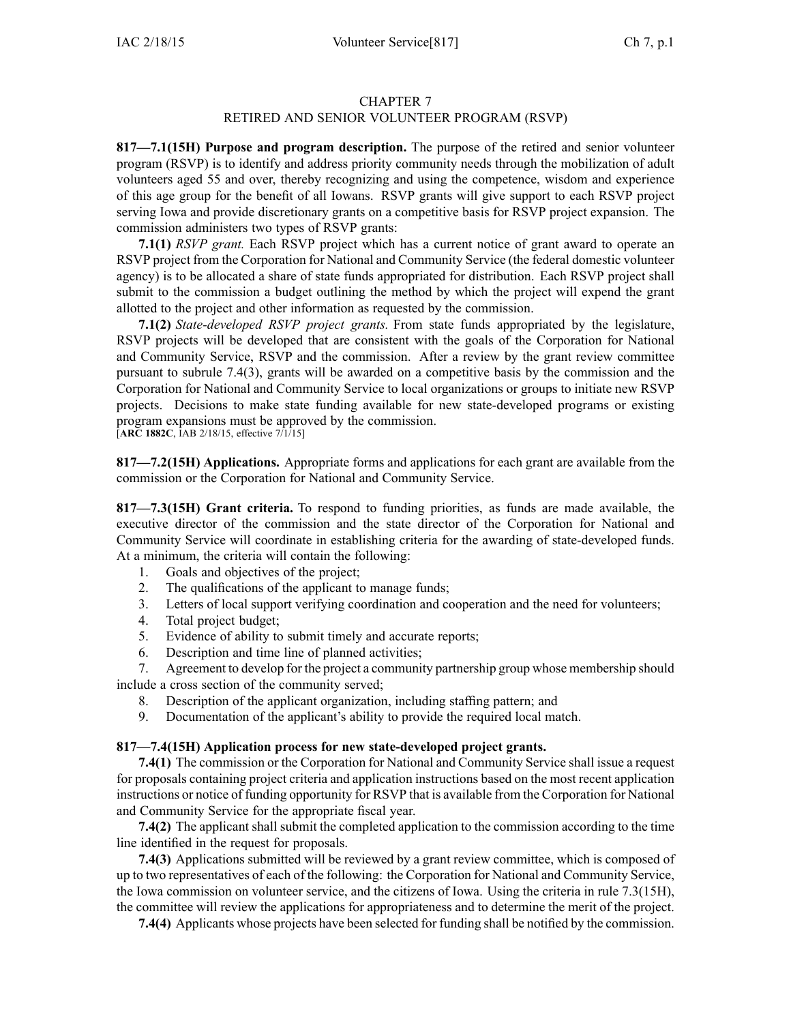# RETIRED AND SENIOR VOLUNTEER PROGRAM (RSVP)

**817—7.1(15H) Purpose and program description.** The purpose of the retired and senior volunteer program (RSVP) is to identify and address priority community needs through the mobilization of adult volunteers aged 55 and over, thereby recognizing and using the competence, wisdom and experience of this age group for the benefit of all Iowans. RSVP grants will give suppor<sup>t</sup> to each RSVP project serving Iowa and provide discretionary grants on <sup>a</sup> competitive basis for RSVP project expansion. The commission administers two types of RSVP grants:

**7.1(1)** *RSVP grant.* Each RSVP project which has <sup>a</sup> current notice of gran<sup>t</sup> award to operate an RSVP project from the Corporation for National and Community Service (the federal domestic volunteer agency) is to be allocated <sup>a</sup> share of state funds appropriated for distribution. Each RSVP project shall submit to the commission <sup>a</sup> budget outlining the method by which the project will expend the gran<sup>t</sup> allotted to the project and other information as requested by the commission.

**7.1(2)** *State-developed RSVP project grants.* From state funds appropriated by the legislature, RSVP projects will be developed that are consistent with the goals of the Corporation for National and Community Service, RSVP and the commission. After <sup>a</sup> review by the gran<sup>t</sup> review committee pursuan<sup>t</sup> to subrule [7.4\(3\)](https://www.legis.iowa.gov/docs/iac/rule/817.7.4.pdf), grants will be awarded on <sup>a</sup> competitive basis by the commission and the Corporation for National and Community Service to local organizations or groups to initiate new RSVP projects. Decisions to make state funding available for new state-developed programs or existing program expansions must be approved by the commission.

[**ARC [1882C](https://www.legis.iowa.gov/docs/aco/arc/1882C.pdf)**, IAB 2/18/15, effective 7/1/15]

**817—7.2(15H) Applications.** Appropriate forms and applications for each gran<sup>t</sup> are available from the commission or the Corporation for National and Community Service.

**817—7.3(15H) Grant criteria.** To respond to funding priorities, as funds are made available, the executive director of the commission and the state director of the Corporation for National and Community Service will coordinate in establishing criteria for the awarding of state-developed funds. At <sup>a</sup> minimum, the criteria will contain the following:

- 1. Goals and objectives of the project;
- 2. The qualifications of the applicant to manage funds;
- 3. Letters of local suppor<sup>t</sup> verifying coordination and cooperation and the need for volunteers;
- 4. Total project budget;
- 5. Evidence of ability to submit timely and accurate reports;
- 6. Description and time line of planned activities;

7. Agreement to develop for the project <sup>a</sup> community partnership group whose membership should include <sup>a</sup> cross section of the community served;

- 8. Description of the applicant organization, including staffing pattern; and
- 9. Documentation of the applicant's ability to provide the required local match.

## **817—7.4(15H) Application process for new state-developed project grants.**

**7.4(1)** The commission or the Corporation for National and Community Service shall issue <sup>a</sup> reques<sup>t</sup> for proposals containing project criteria and application instructions based on the most recent application instructions or notice of funding opportunity for RSVP that is available from the Corporation for National and Community Service for the appropriate fiscal year.

**7.4(2)** The applicant shall submit the completed application to the commission according to the time line identified in the reques<sup>t</sup> for proposals.

**7.4(3)** Applications submitted will be reviewed by <sup>a</sup> gran<sup>t</sup> review committee, which is composed of up to two representatives of each of the following: the Corporation for National and Community Service, the Iowa commission on volunteer service, and the citizens of Iowa. Using the criteria in rule [7.3](https://www.legis.iowa.gov/docs/iac/rule/817.7.3.pdf)(15H), the committee will review the applications for appropriateness and to determine the merit of the project.

**7.4(4)** Applicants whose projects have been selected for funding shall be notified by the commission.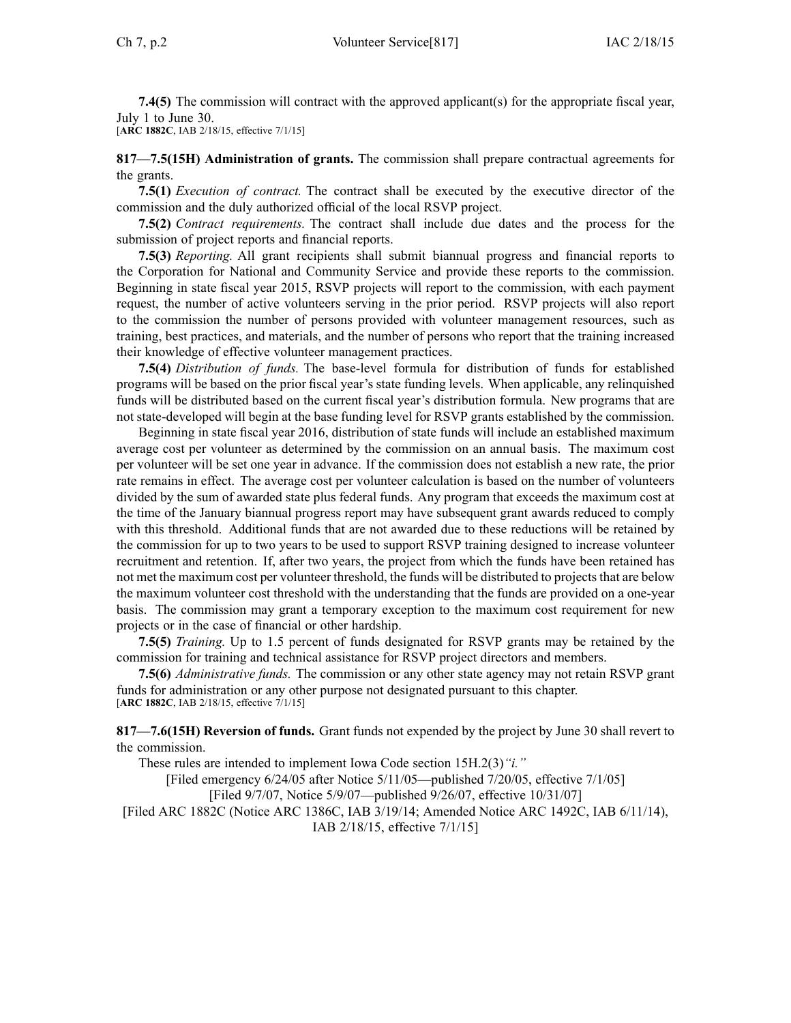**7.4(5)** The commission will contract with the approved applicant(s) for the appropriate fiscal year, July 1 to June 30.

[**ARC [1882C](https://www.legis.iowa.gov/docs/aco/arc/1882C.pdf)**, IAB 2/18/15, effective 7/1/15]

**817—7.5(15H) Administration of grants.** The commission shall prepare contractual agreements for the grants.

**7.5(1)** *Execution of contract.* The contract shall be executed by the executive director of the commission and the duly authorized official of the local RSVP project.

**7.5(2)** *Contract requirements.* The contract shall include due dates and the process for the submission of project reports and financial reports.

**7.5(3)** *Reporting.* All gran<sup>t</sup> recipients shall submit biannual progress and financial reports to the Corporation for National and Community Service and provide these reports to the commission. Beginning in state fiscal year 2015, RSVP projects will repor<sup>t</sup> to the commission, with each paymen<sup>t</sup> request, the number of active volunteers serving in the prior period. RSVP projects will also repor<sup>t</sup> to the commission the number of persons provided with volunteer managemen<sup>t</sup> resources, such as training, best practices, and materials, and the number of persons who repor<sup>t</sup> that the training increased their knowledge of effective volunteer managemen<sup>t</sup> practices.

**7.5(4)** *Distribution of funds.* The base-level formula for distribution of funds for established programs will be based on the prior fiscal year's state funding levels. When applicable, any relinquished funds will be distributed based on the current fiscal year's distribution formula. New programs that are not state-developed will begin at the base funding level for RSVP grants established by the commission.

Beginning in state fiscal year 2016, distribution of state funds will include an established maximum average cost per volunteer as determined by the commission on an annual basis. The maximum cost per volunteer will be set one year in advance. If the commission does not establish <sup>a</sup> new rate, the prior rate remains in effect. The average cost per volunteer calculation is based on the number of volunteers divided by the sum of awarded state plus federal funds. Any program that exceeds the maximum cost at the time of the January biannual progress repor<sup>t</sup> may have subsequent gran<sup>t</sup> awards reduced to comply with this threshold. Additional funds that are not awarded due to these reductions will be retained by the commission for up to two years to be used to suppor<sup>t</sup> RSVP training designed to increase volunteer recruitment and retention. If, after two years, the project from which the funds have been retained has not met the maximum cost per volunteer threshold, the funds will be distributed to projects that are below the maximum volunteer cost threshold with the understanding that the funds are provided on <sup>a</sup> one-year basis. The commission may gran<sup>t</sup> <sup>a</sup> temporary exception to the maximum cost requirement for new projects or in the case of financial or other hardship.

**7.5(5)** *Training.* Up to 1.5 percen<sup>t</sup> of funds designated for RSVP grants may be retained by the commission for training and technical assistance for RSVP project directors and members.

**7.5(6)** *Administrative funds.* The commission or any other state agency may not retain RSVP gran<sup>t</sup> funds for administration or any other purpose not designated pursuan<sup>t</sup> to this chapter. [**ARC [1882C](https://www.legis.iowa.gov/docs/aco/arc/1882C.pdf)**, IAB 2/18/15, effective 7/1/15]

**817—7.6(15H) Reversion of funds.** Grant funds not expended by the project by June 30 shall revert to the commission.

These rules are intended to implement Iowa Code section [15H.2\(3\)](https://www.legis.iowa.gov/docs/ico/section/15H.2.pdf)*"i."*

[Filed emergency 6/24/05 after Notice 5/11/05—published 7/20/05, effective 7/1/05]

[Filed 9/7/07, Notice 5/9/07—published 9/26/07, effective 10/31/07]

[\[Filed](https://www.legis.iowa.gov/docs/aco/arc/1882C.pdf) ARC 1882C ([Notice](https://www.legis.iowa.gov/docs/aco/arc/1386C.pdf) ARC 1386C, IAB 3/19/14; [Amended](https://www.legis.iowa.gov/docs/aco/arc/1492C.pdf) Notice ARC 1492C, IAB 6/11/14), IAB 2/18/15, effective 7/1/15]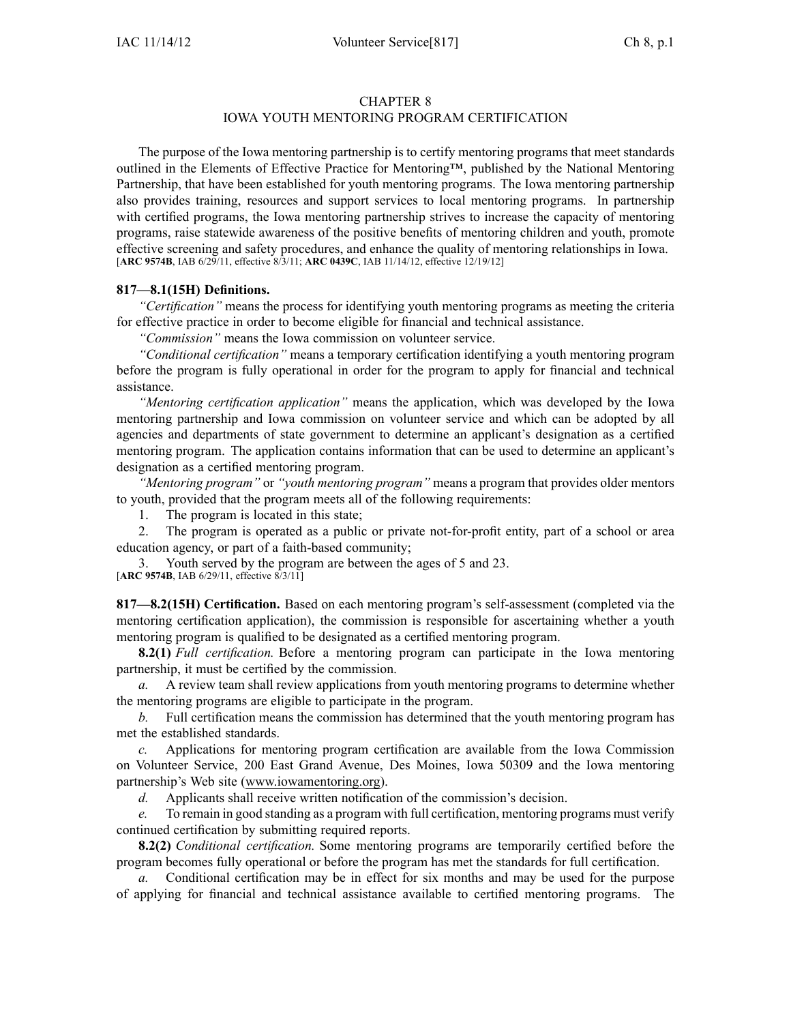# IOWA YOUTH MENTORING PROGRAM CERTIFICATION

The purpose of the Iowa mentoring partnership is to certify mentoring programs that meet standards outlined in the Elements of Effective Practice for Mentoring™, published by the National Mentoring Partnership, that have been established for youth mentoring programs. The Iowa mentoring partnership also provides training, resources and suppor<sup>t</sup> services to local mentoring programs. In partnership with certified programs, the Iowa mentoring partnership strives to increase the capacity of mentoring programs, raise statewide awareness of the positive benefits of mentoring children and youth, promote effective screening and safety procedures, and enhance the quality of mentoring relationships in Iowa. [**ARC [9574B](https://www.legis.iowa.gov/docs/aco/arc/9574B.pdf)**, IAB 6/29/11, effective 8/3/11; **ARC [0439C](https://www.legis.iowa.gov/docs/aco/arc/0439C.pdf)**, IAB 11/14/12, effective 12/19/12]

#### **817—8.1(15H) Definitions.**

*"Certification"* means the process for identifying youth mentoring programs as meeting the criteria for effective practice in order to become eligible for financial and technical assistance.

*"Commission"* means the Iowa commission on volunteer service.

*"Conditional certification"* means <sup>a</sup> temporary certification identifying <sup>a</sup> youth mentoring program before the program is fully operational in order for the program to apply for financial and technical assistance.

*"Mentoring certification application"* means the application, which was developed by the Iowa mentoring partnership and Iowa commission on volunteer service and which can be adopted by all agencies and departments of state governmen<sup>t</sup> to determine an applicant's designation as <sup>a</sup> certified mentoring program. The application contains information that can be used to determine an applicant's designation as <sup>a</sup> certified mentoring program.

*"Mentoring program"* or *"youth mentoring program"* means <sup>a</sup> program that provides older mentors to youth, provided that the program meets all of the following requirements:

1. The program is located in this state;

2. The program is operated as <sup>a</sup> public or private not-for-profit entity, par<sup>t</sup> of <sup>a</sup> school or area education agency, or par<sup>t</sup> of <sup>a</sup> faith-based community;

Youth served by the program are between the ages of 5 and 23. [**ARC [9574B](https://www.legis.iowa.gov/docs/aco/arc/9574B.pdf)**, IAB 6/29/11, effective 8/3/11]

**817—8.2(15H) Certification.** Based on each mentoring program's self-assessment (completed via the mentoring certification application), the commission is responsible for ascertaining whether <sup>a</sup> youth mentoring program is qualified to be designated as <sup>a</sup> certified mentoring program.

**8.2(1)** *Full certification.* Before <sup>a</sup> mentoring program can participate in the Iowa mentoring partnership, it must be certified by the commission.

*a.* A review team shall review applications from youth mentoring programs to determine whether the mentoring programs are eligible to participate in the program.

*b.* Full certification means the commission has determined that the youth mentoring program has met the established standards.

*c.* Applications for mentoring program certification are available from the Iowa Commission on Volunteer Service, 200 East Grand Avenue, Des Moines, Iowa 50309 and the Iowa mentoring partnership's Web site ([www.iowamentoring.org](http://www.iowamentoring.org)).

*d.* Applicants shall receive written notification of the commission's decision.

*e.* To remain in good standing as <sup>a</sup> program with full certification, mentoring programs must verify continued certification by submitting required reports.

**8.2(2)** *Conditional certification.* Some mentoring programs are temporarily certified before the program becomes fully operational or before the program has met the standards for full certification.

*a.* Conditional certification may be in effect for six months and may be used for the purpose of applying for financial and technical assistance available to certified mentoring programs. The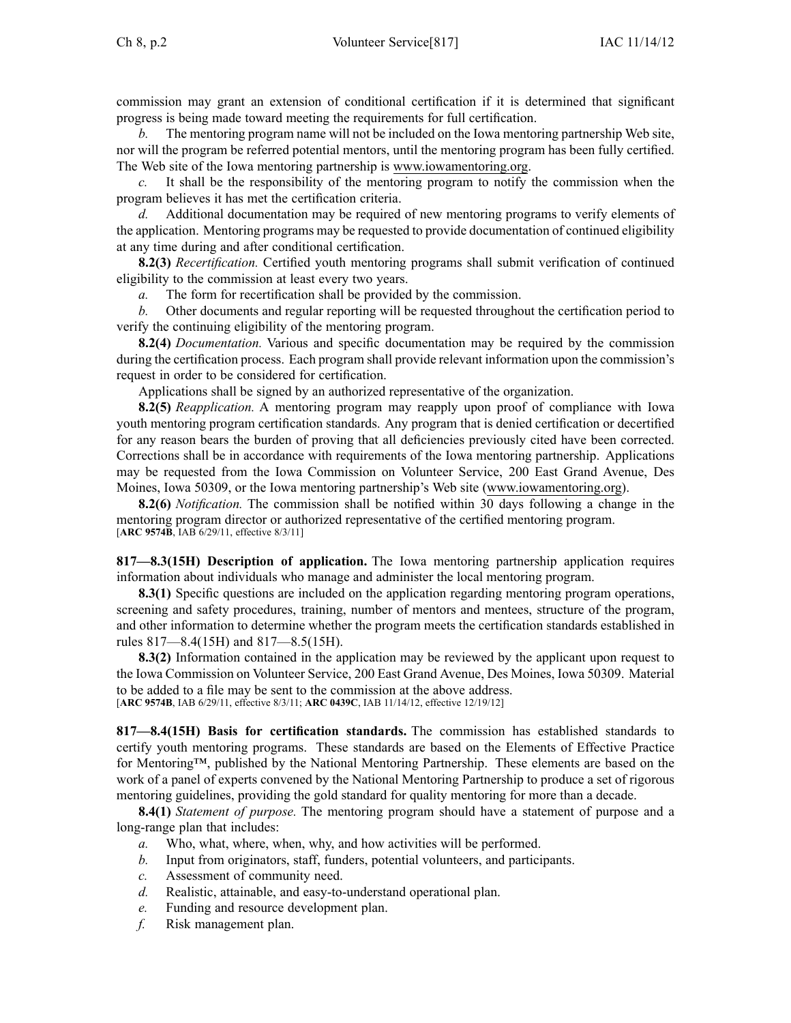commission may gran<sup>t</sup> an extension of conditional certification if it is determined that significant progress is being made toward meeting the requirements for full certification.

*b.* The mentoring program name will not be included on the Iowa mentoring partnership Web site, nor will the program be referred potential mentors, until the mentoring program has been fully certified. The Web site of the Iowa mentoring partnership is www.iowamentoring.org.

*c.* It shall be the responsibility of the mentoring program to notify the commission when the program believes it has met the certification criteria.

*d.* Additional documentation may be required of new mentoring programs to verify elements of the application. Mentoring programs may be requested to provide documentation of continued eligibility at any time during and after conditional certification.

**8.2(3)** *Recertification.* Certified youth mentoring programs shall submit verification of continued eligibility to the commission at least every two years.

*a.* The form for recertification shall be provided by the commission.

*b.* Other documents and regular reporting will be requested throughout the certification period to verify the continuing eligibility of the mentoring program.

**8.2(4)** *Documentation.* Various and specific documentation may be required by the commission during the certification process. Each program shall provide relevant information upon the commission's reques<sup>t</sup> in order to be considered for certification.

Applications shall be signed by an authorized representative of the organization.

**8.2(5)** *Reapplication.* A mentoring program may reapply upon proof of compliance with Iowa youth mentoring program certification standards. Any program that is denied certification or decertified for any reason bears the burden of proving that all deficiencies previously cited have been corrected. Corrections shall be in accordance with requirements of the Iowa mentoring partnership. Applications may be requested from the Iowa Commission on Volunteer Service, 200 East Grand Avenue, Des Moines, Iowa 50309, or the Iowa mentoring partnership's Web site ([www.iowamentoring.org](http://www.iowamentoring.org)).

**8.2(6)** *Notification.* The commission shall be notified within 30 days following <sup>a</sup> change in the mentoring program director or authorized representative of the certified mentoring program. [**ARC [9574B](https://www.legis.iowa.gov/docs/aco/arc/9574B.pdf)**, IAB 6/29/11, effective 8/3/11]

**817—8.3(15H) Description of application.** The Iowa mentoring partnership application requires information about individuals who manage and administer the local mentoring program.

**8.3(1)** Specific questions are included on the application regarding mentoring program operations, screening and safety procedures, training, number of mentors and mentees, structure of the program, and other information to determine whether the program meets the certification standards established in rules [817—8.4](https://www.legis.iowa.gov/docs/iac/rule/817.8.4.pdf)(15H) and [817—8.5](https://www.legis.iowa.gov/docs/iac/rule/817.8.5.pdf)(15H).

**8.3(2)** Information contained in the application may be reviewed by the applicant upon reques<sup>t</sup> to the Iowa Commission on Volunteer Service, 200 East Grand Avenue, Des Moines, Iowa 50309. Material to be added to <sup>a</sup> file may be sent to the commission at the above address. [**ARC [9574B](https://www.legis.iowa.gov/docs/aco/arc/9574B.pdf)**, IAB 6/29/11, effective 8/3/11; **ARC [0439C](https://www.legis.iowa.gov/docs/aco/arc/0439C.pdf)**, IAB 11/14/12, effective 12/19/12]

**817—8.4(15H) Basis for certification standards.** The commission has established standards to certify youth mentoring programs. These standards are based on the Elements of Effective Practice for Mentoring™, published by the National Mentoring Partnership. These elements are based on the work of <sup>a</sup> panel of experts convened by the National Mentoring Partnership to produce <sup>a</sup> set of rigorous mentoring guidelines, providing the gold standard for quality mentoring for more than <sup>a</sup> decade.

**8.4(1)** *Statement of purpose.* The mentoring program should have <sup>a</sup> statement of purpose and <sup>a</sup> long-range plan that includes:

- *a.* Who, what, where, when, why, and how activities will be performed.
- *b.* Input from originators, staff, funders, potential volunteers, and participants.
- *c.* Assessment of community need.
- *d.* Realistic, attainable, and easy-to-understand operational plan.
- *e.* Funding and resource development plan.
- *f.* Risk managemen<sup>t</sup> plan.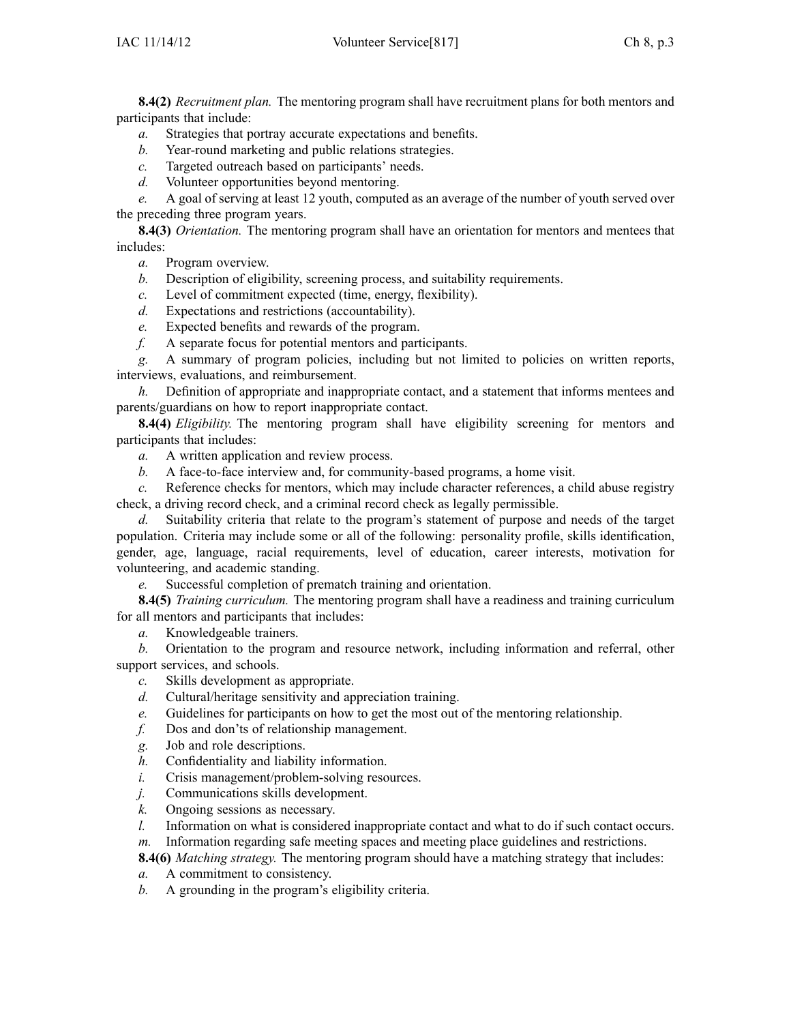**8.4(2)** *Recruitment plan.* The mentoring program shall have recruitment plans for both mentors and participants that include:

- *a.* Strategies that portray accurate expectations and benefits.
- *b.* Year-round marketing and public relations strategies.
- *c.* Targeted outreach based on participants' needs.
- *d.* Volunteer opportunities beyond mentoring.

*e.* A goal of serving at least 12 youth, computed as an average of the number of youth served over the preceding three program years.

**8.4(3)** *Orientation.* The mentoring program shall have an orientation for mentors and mentees that includes:

- *a.* Program overview.
- *b.* Description of eligibility, screening process, and suitability requirements.
- *c.* Level of commitment expected (time, energy, flexibility).
- *d.* Expectations and restrictions (accountability).
- *e.* Expected benefits and rewards of the program.
- *f.* A separate focus for potential mentors and participants.

*g.* A summary of program policies, including but not limited to policies on written reports, interviews, evaluations, and reimbursement.

*h.* Definition of appropriate and inappropriate contact, and <sup>a</sup> statement that informs mentees and parents/guardians on how to repor<sup>t</sup> inappropriate contact.

**8.4(4)** *Eligibility.* The mentoring program shall have eligibility screening for mentors and participants that includes:

- *a.* A written application and review process.
- *b.* A face-to-face interview and, for community-based programs, <sup>a</sup> home visit.

*c.* Reference checks for mentors, which may include character references, <sup>a</sup> child abuse registry check, <sup>a</sup> driving record check, and <sup>a</sup> criminal record check as legally permissible.

*d.* Suitability criteria that relate to the program's statement of purpose and needs of the target population. Criteria may include some or all of the following: personality profile, skills identification, gender, age, language, racial requirements, level of education, career interests, motivation for volunteering, and academic standing.

*e.* Successful completion of prematch training and orientation.

**8.4(5)** *Training curriculum.* The mentoring program shall have <sup>a</sup> readiness and training curriculum for all mentors and participants that includes:

*a.* Knowledgeable trainers.

*b.* Orientation to the program and resource network, including information and referral, other suppor<sup>t</sup> services, and schools.

- *c.* Skills development as appropriate.
- *d.* Cultural/heritage sensitivity and appreciation training.
- *e.* Guidelines for participants on how to ge<sup>t</sup> the most out of the mentoring relationship.
- *f.* Dos and don'ts of relationship management.
- *g.* Job and role descriptions.
- *h.* Confidentiality and liability information.
- *i.* Crisis management/problem-solving resources.
- *j.* Communications skills development.
- *k.* Ongoing sessions as necessary.
- *l.* Information on what is considered inappropriate contact and what to do if such contact occurs.
- *m.* Information regarding safe meeting spaces and meeting place guidelines and restrictions.

**8.4(6)** *Matching strategy.* The mentoring program should have <sup>a</sup> matching strategy that includes:

- *a.* A commitment to consistency.
- *b.* A grounding in the program's eligibility criteria.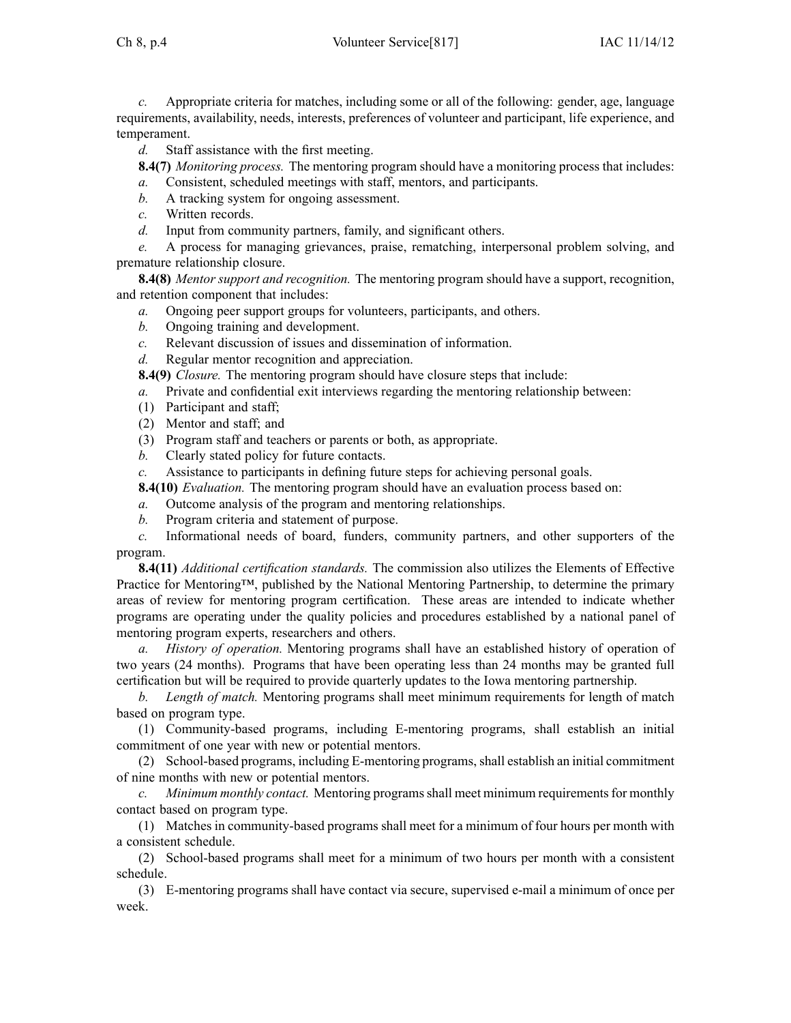Ch 8, p.4 Volunteer Service[817] IAC 11/14/12

*c.* Appropriate criteria for matches, including some or all of the following: gender, age, language requirements, availability, needs, interests, preferences of volunteer and participant, life experience, and temperament.

*d.* Staff assistance with the first meeting.

**8.4(7)** *Monitoring process.* The mentoring program should have <sup>a</sup> monitoring process that includes:

*a.* Consistent, scheduled meetings with staff, mentors, and participants.

- *b.* A tracking system for ongoing assessment.
- *c.* Written records.

*d.* Input from community partners, family, and significant others.

*e.* A process for managing grievances, praise, rematching, interpersonal problem solving, and premature relationship closure.

**8.4(8)** *Mentor suppor<sup>t</sup> and recognition.* The mentoring program should have <sup>a</sup> support, recognition, and retention componen<sup>t</sup> that includes:

- *a.* Ongoing peer suppor<sup>t</sup> groups for volunteers, participants, and others.
- *b.* Ongoing training and development.
- *c.* Relevant discussion of issues and dissemination of information.
- *d.* Regular mentor recognition and appreciation.
- **8.4(9)** *Closure.* The mentoring program should have closure steps that include:
- *a.* Private and confidential exit interviews regarding the mentoring relationship between:
- (1) Participant and staff;
- (2) Mentor and staff; and
- (3) Program staff and teachers or parents or both, as appropriate.
- *b.* Clearly stated policy for future contacts.
- *c.* Assistance to participants in defining future steps for achieving personal goals.
- **8.4(10)** *Evaluation.* The mentoring program should have an evaluation process based on:
- *a.* Outcome analysis of the program and mentoring relationships.
- *b.* Program criteria and statement of purpose.

*c.* Informational needs of board, funders, community partners, and other supporters of the program.

**8.4(11)** *Additional certification standards.* The commission also utilizes the Elements of Effective Practice for Mentoring™, published by the National Mentoring Partnership, to determine the primary areas of review for mentoring program certification. These areas are intended to indicate whether programs are operating under the quality policies and procedures established by <sup>a</sup> national panel of mentoring program experts, researchers and others.

*a. History of operation.* Mentoring programs shall have an established history of operation of two years (24 months). Programs that have been operating less than 24 months may be granted full certification but will be required to provide quarterly updates to the Iowa mentoring partnership.

*b. Length of match.* Mentoring programs shall meet minimum requirements for length of match based on program type.

(1) Community-based programs, including E-mentoring programs, shall establish an initial commitment of one year with new or potential mentors.

(2) School-based programs, including E-mentoring programs, shall establish an initial commitment of nine months with new or potential mentors.

*c. Minimum monthly contact.* Mentoring programsshall meet minimum requirementsfor monthly contact based on program type.

(1) Matches in community-based programs shall meet for <sup>a</sup> minimum of four hours per month with <sup>a</sup> consistent schedule.

(2) School-based programs shall meet for <sup>a</sup> minimum of two hours per month with <sup>a</sup> consistent schedule.

(3) E-mentoring programs shall have contact via secure, supervised e-mail <sup>a</sup> minimum of once per week.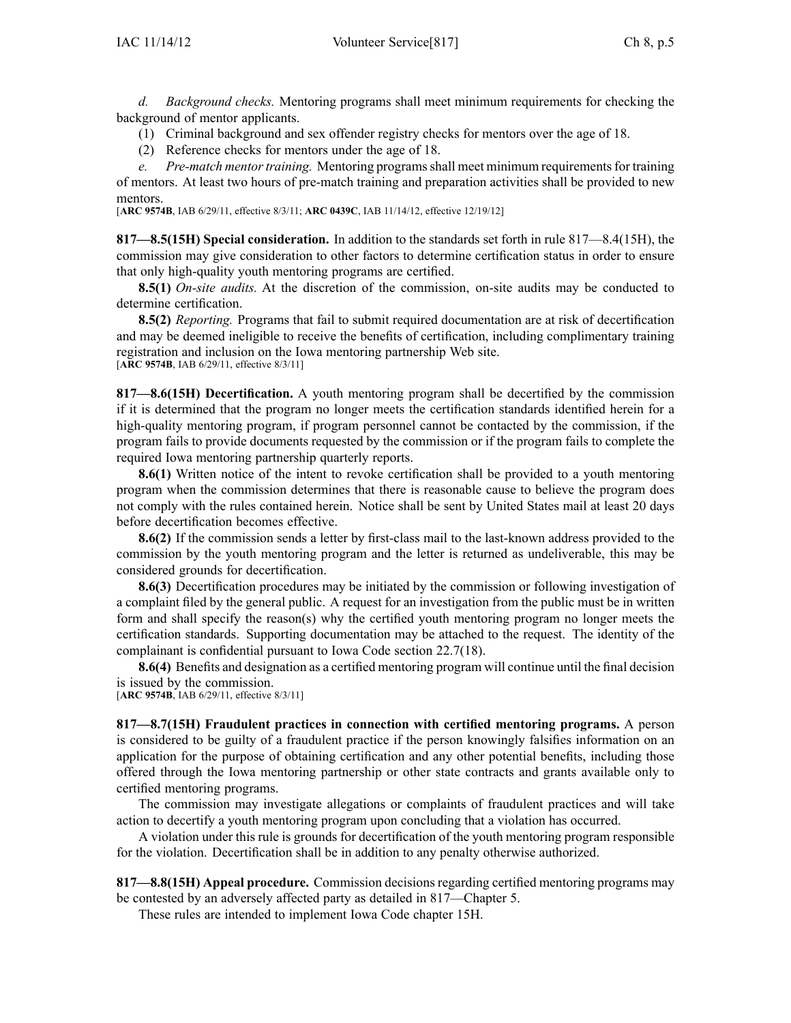*d. Background checks.* Mentoring programs shall meet minimum requirements for checking the background of mentor applicants.

- (1) Criminal background and sex offender registry checks for mentors over the age of 18.
- (2) Reference checks for mentors under the age of 18.

*e. Pre-match mentor training.* Mentoring programs shall meet minimum requirements for training of mentors. At least two hours of pre-match training and preparation activities shall be provided to new mentors.

[**ARC [9574B](https://www.legis.iowa.gov/docs/aco/arc/9574B.pdf)**, IAB 6/29/11, effective 8/3/11; **ARC [0439C](https://www.legis.iowa.gov/docs/aco/arc/0439C.pdf)**, IAB 11/14/12, effective 12/19/12]

**817—8.5(15H) Special consideration.** In addition to the standards set forth in rule [817—8.4](https://www.legis.iowa.gov/docs/iac/rule/817.8.4.pdf)(15H), the commission may give consideration to other factors to determine certification status in order to ensure that only high-quality youth mentoring programs are certified.

**8.5(1)** *On-site audits.* At the discretion of the commission, on-site audits may be conducted to determine certification.

**8.5(2)** *Reporting.* Programs that fail to submit required documentation are at risk of decertification and may be deemed ineligible to receive the benefits of certification, including complimentary training registration and inclusion on the Iowa mentoring partnership Web site. [**ARC [9574B](https://www.legis.iowa.gov/docs/aco/arc/9574B.pdf)**, IAB 6/29/11, effective 8/3/11]

**817—8.6(15H) Decertification.** A youth mentoring program shall be decertified by the commission if it is determined that the program no longer meets the certification standards identified herein for <sup>a</sup> high-quality mentoring program, if program personnel cannot be contacted by the commission, if the program fails to provide documents requested by the commission or if the program fails to complete the required Iowa mentoring partnership quarterly reports.

**8.6(1)** Written notice of the intent to revoke certification shall be provided to a youth mentoring program when the commission determines that there is reasonable cause to believe the program does not comply with the rules contained herein. Notice shall be sent by United States mail at least 20 days before decertification becomes effective.

**8.6(2)** If the commission sends <sup>a</sup> letter by first-class mail to the last-known address provided to the commission by the youth mentoring program and the letter is returned as undeliverable, this may be considered grounds for decertification.

**8.6(3)** Decertification procedures may be initiated by the commission or following investigation of <sup>a</sup> complaint filed by the general public. A reques<sup>t</sup> for an investigation from the public must be in written form and shall specify the reason(s) why the certified youth mentoring program no longer meets the certification standards. Supporting documentation may be attached to the request. The identity of the complainant is confidential pursuan<sup>t</sup> to Iowa Code section [22.7\(18\)](https://www.legis.iowa.gov/docs/ico/section/22.7.pdf).

**8.6(4)** Benefits and designation as <sup>a</sup> certified mentoring program will continue until the final decision is issued by the commission.

[**ARC [9574B](https://www.legis.iowa.gov/docs/aco/arc/9574B.pdf)**, IAB 6/29/11, effective 8/3/11]

**817—8.7(15H) Fraudulent practices in connection with certified mentoring programs.** A person is considered to be guilty of <sup>a</sup> fraudulent practice if the person knowingly falsifies information on an application for the purpose of obtaining certification and any other potential benefits, including those offered through the Iowa mentoring partnership or other state contracts and grants available only to certified mentoring programs.

The commission may investigate allegations or complaints of fraudulent practices and will take action to decertify <sup>a</sup> youth mentoring program upon concluding that <sup>a</sup> violation has occurred.

A violation under this rule is grounds for decertification of the youth mentoring program responsible for the violation. Decertification shall be in addition to any penalty otherwise authorized.

**817—8.8(15H) Appeal procedure.** Commission decisions regarding certified mentoring programs may be contested by an adversely affected party as detailed in [817—Chapter](https://www.legis.iowa.gov/docs/iac/chapter/817.5.pdf) 5.

These rules are intended to implement Iowa Code chapter [15H](https://www.legis.iowa.gov/docs/ico/chapter/15H.pdf).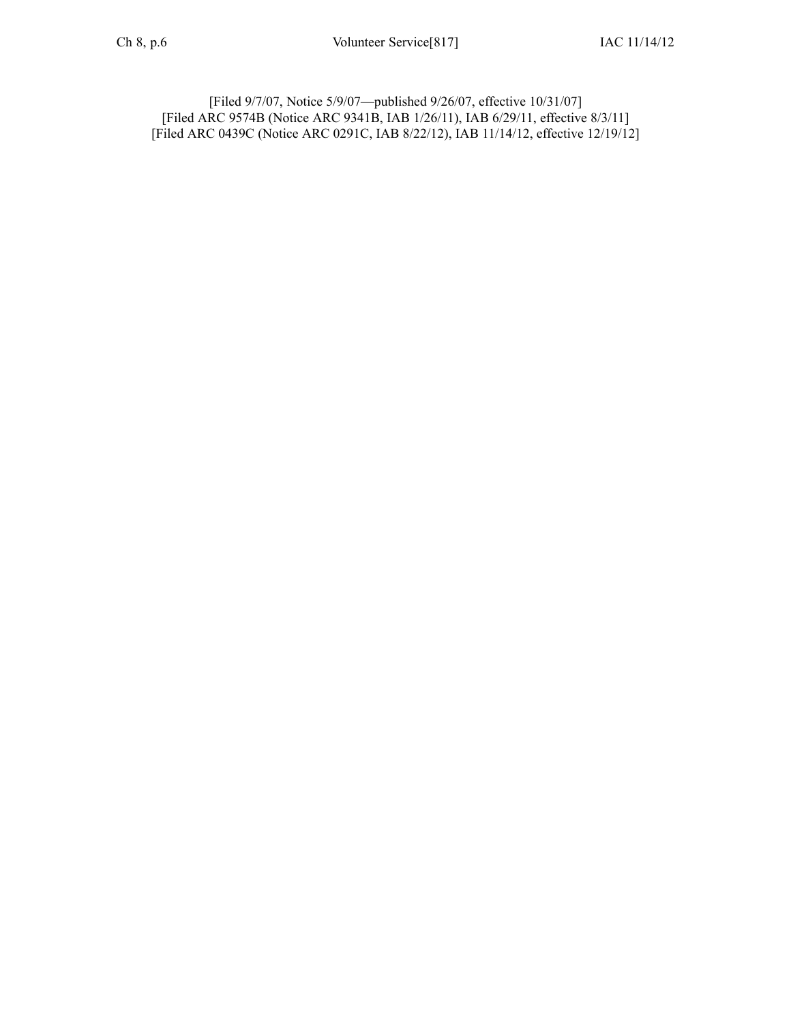[Filed 9/7/07, Notice 5/9/07—published 9/26/07, effective 10/31/07] [[Filed](https://www.legis.iowa.gov/docs/aco/arc/9574B.pdf) ARC 9574B [\(Notice](https://www.legis.iowa.gov/docs/aco/arc/9341B.pdf) ARC 9341B, IAB 1/26/11), IAB 6/29/11, effective 8/3/11] [Filed ARC [0439C](https://www.legis.iowa.gov/docs/aco/arc/0439C.pdf) ([Notice](https://www.legis.iowa.gov/docs/aco/arc/0291C.pdf) ARC 0291C, IAB 8/22/12), IAB 11/14/12, effective 12/19/12]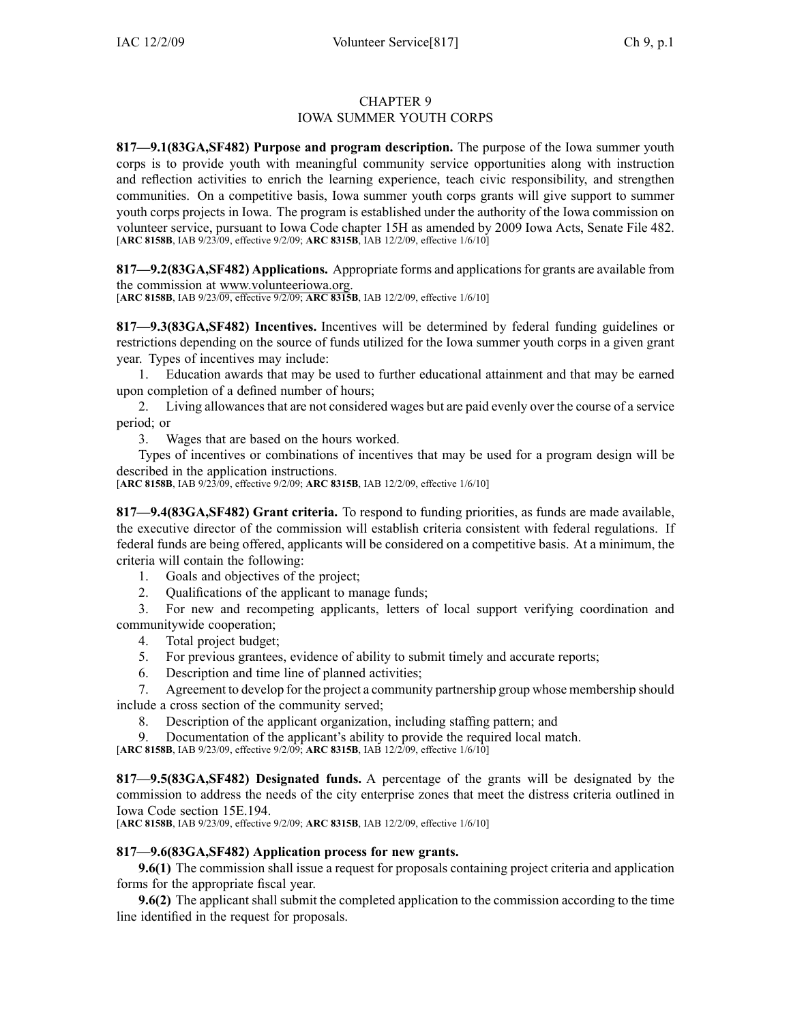## CHAPTER 9 IOWA SUMMER YOUTH CORPS

**817—9.1(83GA,SF482) Purpose and program description.** The purpose of the Iowa summer youth corps is to provide youth with meaningful community service opportunities along with instruction and reflection activities to enrich the learning experience, teach civic responsibility, and strengthen communities. On <sup>a</sup> competitive basis, Iowa summer youth corps grants will give suppor<sup>t</sup> to summer youth corps projects in Iowa. The program is established under the authority of the Iowa commission on volunteer service, pursuan<sup>t</sup> to Iowa Code chapter [15H](https://www.legis.iowa.gov/docs/ico/chapter/15H.pdf) as amended by 2009 Iowa Acts, Senate File 482. [**ARC [8158B](https://www.legis.iowa.gov/docs/aco/arc/8158B.pdf)**, IAB 9/23/09, effective 9/2/09; **ARC [8315B](https://www.legis.iowa.gov/docs/aco/arc/8315B.pdf)**, IAB 12/2/09, effective 1/6/10]

**817—9.2(83GA,SF482) Applications.** Appropriate forms and applicationsfor grants are available from the commission at [www.volunteeriowa.org](http://www.volunteeriowa.org).

[**ARC [8158B](https://www.legis.iowa.gov/docs/aco/arc/8158B.pdf)**, IAB 9/23/09, effective 9/2/09; **ARC [8315B](https://www.legis.iowa.gov/docs/aco/arc/8315B.pdf)**, IAB 12/2/09, effective 1/6/10]

**817—9.3(83GA,SF482) Incentives.** Incentives will be determined by federal funding guidelines or restrictions depending on the source of funds utilized for the Iowa summer youth corps in <sup>a</sup> given gran<sup>t</sup> year. Types of incentives may include:

1. Education awards that may be used to further educational attainment and that may be earned upon completion of <sup>a</sup> defined number of hours;

2. Living allowancesthat are not considered wages but are paid evenly over the course of <sup>a</sup> service period; or

3. Wages that are based on the hours worked.

Types of incentives or combinations of incentives that may be used for <sup>a</sup> program design will be described in the application instructions.

[**ARC [8158B](https://www.legis.iowa.gov/docs/aco/arc/8158B.pdf)**, IAB 9/23/09, effective 9/2/09; **ARC [8315B](https://www.legis.iowa.gov/docs/aco/arc/8315B.pdf)**, IAB 12/2/09, effective 1/6/10]

**817—9.4(83GA,SF482) Grant criteria.** To respond to funding priorities, as funds are made available, the executive director of the commission will establish criteria consistent with federal regulations. If federal funds are being offered, applicants will be considered on <sup>a</sup> competitive basis. At <sup>a</sup> minimum, the criteria will contain the following:

1. Goals and objectives of the project;

2. Qualifications of the applicant to manage funds;

3. For new and recompeting applicants, letters of local suppor<sup>t</sup> verifying coordination and communitywide cooperation;

- 4. Total project budget;
- 5. For previous grantees, evidence of ability to submit timely and accurate reports;
- 6. Description and time line of planned activities;

7. Agreement to develop for the project <sup>a</sup> community partnership group whose membership should include <sup>a</sup> cross section of the community served;

8. Description of the applicant organization, including staffing pattern; and

9. Documentation of the applicant's ability to provide the required local match.

[**ARC [8158B](https://www.legis.iowa.gov/docs/aco/arc/8158B.pdf)**, IAB 9/23/09, effective 9/2/09; **ARC [8315B](https://www.legis.iowa.gov/docs/aco/arc/8315B.pdf)**, IAB 12/2/09, effective 1/6/10]

**817—9.5(83GA,SF482) Designated funds.** A percentage of the grants will be designated by the commission to address the needs of the city enterprise zones that meet the distress criteria outlined in Iowa Code section [15E.194](https://www.legis.iowa.gov/docs/ico/section/15E.194.pdf).

[**ARC [8158B](https://www.legis.iowa.gov/docs/aco/arc/8158B.pdf)**, IAB 9/23/09, effective 9/2/09; **ARC [8315B](https://www.legis.iowa.gov/docs/aco/arc/8315B.pdf)**, IAB 12/2/09, effective 1/6/10]

## **817—9.6(83GA,SF482) Application process for new grants.**

**9.6(1)** The commission shall issue <sup>a</sup> reques<sup>t</sup> for proposals containing project criteria and application forms for the appropriate fiscal year.

**9.6(2)** The applicant shall submit the completed application to the commission according to the time line identified in the reques<sup>t</sup> for proposals.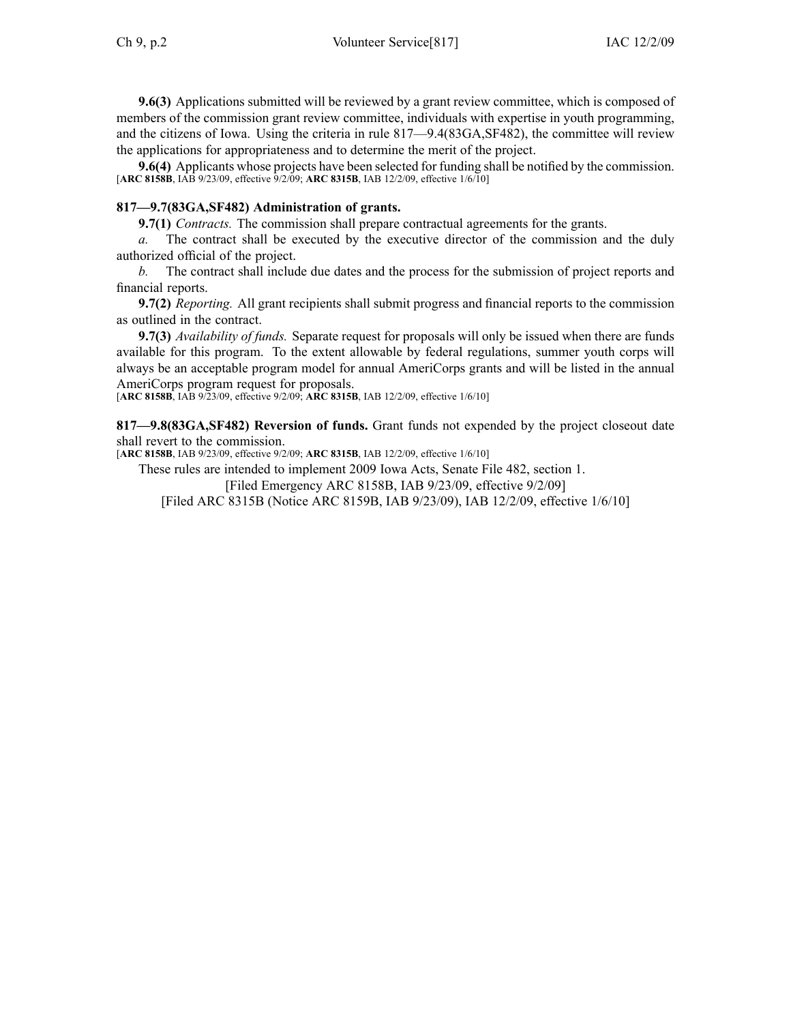**9.6(3)** Applications submitted will be reviewed by <sup>a</sup> gran<sup>t</sup> review committee, which is composed of members of the commission gran<sup>t</sup> review committee, individuals with expertise in youth programming, and the citizens of Iowa. Using the criteria in rule [817—9.4](https://www.legis.iowa.gov/docs/iac/rule/817.9.4.pdf)(83GA,SF482), the committee will review the applications for appropriateness and to determine the merit of the project.

**9.6(4)** Applicants whose projects have been selected for funding shall be notified by the commission. [**ARC [8158B](https://www.legis.iowa.gov/docs/aco/arc/8158B.pdf)**, IAB 9/23/09, effective 9/2/09; **ARC [8315B](https://www.legis.iowa.gov/docs/aco/arc/8315B.pdf)**, IAB 12/2/09, effective 1/6/10]

#### **817—9.7(83GA,SF482) Administration of grants.**

**9.7(1)** *Contracts.* The commission shall prepare contractual agreements for the grants.

*a.* The contract shall be executed by the executive director of the commission and the duly authorized official of the project.

*b.* The contract shall include due dates and the process for the submission of project reports and financial reports.

**9.7(2)** *Reporting.* All gran<sup>t</sup> recipients shall submit progress and financial reports to the commission as outlined in the contract.

**9.7(3)** *Availability of funds.* Separate reques<sup>t</sup> for proposals will only be issued when there are funds available for this program. To the extent allowable by federal regulations, summer youth corps will always be an acceptable program model for annual AmeriCorps grants and will be listed in the annual AmeriCorps program reques<sup>t</sup> for proposals.

[**ARC [8158B](https://www.legis.iowa.gov/docs/aco/arc/8158B.pdf)**, IAB 9/23/09, effective 9/2/09; **ARC [8315B](https://www.legis.iowa.gov/docs/aco/arc/8315B.pdf)**, IAB 12/2/09, effective 1/6/10]

**817—9.8(83GA,SF482) Reversion of funds.** Grant funds not expended by the project closeout date shall revert to the commission.

[**ARC [8158B](https://www.legis.iowa.gov/docs/aco/arc/8158B.pdf)**, IAB 9/23/09, effective 9/2/09; **ARC [8315B](https://www.legis.iowa.gov/docs/aco/arc/8315B.pdf)**, IAB 12/2/09, effective 1/6/10]

These rules are intended to implement 2009 Iowa Acts, Senate File 482, section 1.

[Filed [Emergency](https://www.legis.iowa.gov/docs/aco/arc/8158B.pdf) ARC 8158B, IAB 9/23/09, effective 9/2/09]

[[Filed](https://www.legis.iowa.gov/docs/aco/arc/8315B.pdf) ARC 8315B ([Notice](https://www.legis.iowa.gov/docs/aco/arc/8159B.pdf) ARC 8159B, IAB 9/23/09), IAB 12/2/09, effective 1/6/10]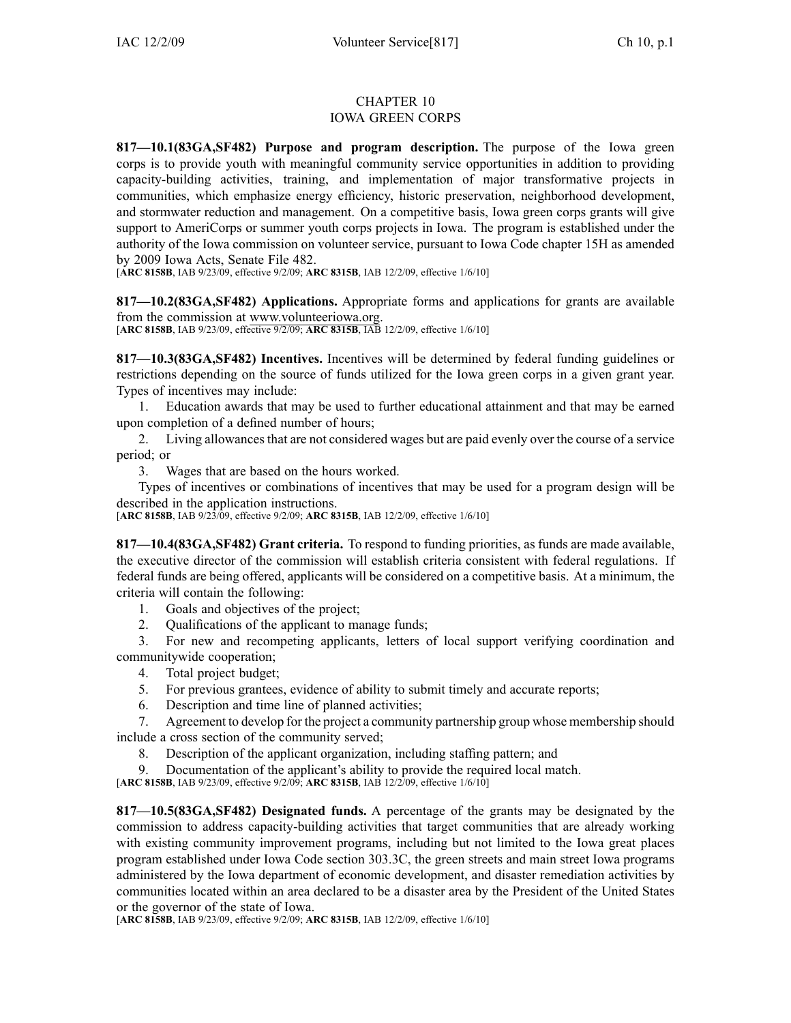## CHAPTER 10 IOWA GREEN CORPS

**817—10.1(83GA,SF482) Purpose and program description.** The purpose of the Iowa green corps is to provide youth with meaningful community service opportunities in addition to providing capacity-building activities, training, and implementation of major transformative projects in communities, which emphasize energy efficiency, historic preservation, neighborhood development, and stormwater reduction and management. On <sup>a</sup> competitive basis, Iowa green corps grants will give suppor<sup>t</sup> to AmeriCorps or summer youth corps projects in Iowa. The program is established under the authority of the Iowa commission on volunteer service, pursuan<sup>t</sup> to Iowa Code chapter [15H](https://www.legis.iowa.gov/docs/ico/chapter/15H.pdf) as amended by 2009 Iowa Acts, Senate File 482.

[**ARC [8158B](https://www.legis.iowa.gov/docs/aco/arc/8158B.pdf)**, IAB 9/23/09, effective 9/2/09; **ARC [8315B](https://www.legis.iowa.gov/docs/aco/arc/8315B.pdf)**, IAB 12/2/09, effective 1/6/10]

**817—10.2(83GA,SF482) Applications.** Appropriate forms and applications for grants are available from the commission at [www.volunteeriowa.org](http://www.volunteeriowa.org).

[**ARC [8158B](https://www.legis.iowa.gov/docs/aco/arc/8158B.pdf)**, IAB 9/23/09, effective 9/2/09; **ARC [8315B](https://www.legis.iowa.gov/docs/aco/arc/8315B.pdf)**, IAB 12/2/09, effective 1/6/10]

**817—10.3(83GA,SF482) Incentives.** Incentives will be determined by federal funding guidelines or restrictions depending on the source of funds utilized for the Iowa green corps in <sup>a</sup> given gran<sup>t</sup> year. Types of incentives may include:

1. Education awards that may be used to further educational attainment and that may be earned upon completion of <sup>a</sup> defined number of hours;

2. Living allowancesthat are not considered wages but are paid evenly over the course of <sup>a</sup> service period; or

3. Wages that are based on the hours worked.

Types of incentives or combinations of incentives that may be used for <sup>a</sup> program design will be described in the application instructions.

[**ARC [8158B](https://www.legis.iowa.gov/docs/aco/arc/8158B.pdf)**, IAB 9/23/09, effective 9/2/09; **ARC [8315B](https://www.legis.iowa.gov/docs/aco/arc/8315B.pdf)**, IAB 12/2/09, effective 1/6/10]

**817—10.4(83GA,SF482) Grant criteria.** To respond to funding priorities, as funds are made available, the executive director of the commission will establish criteria consistent with federal regulations. If federal funds are being offered, applicants will be considered on <sup>a</sup> competitive basis. At <sup>a</sup> minimum, the criteria will contain the following:

- 1. Goals and objectives of the project;
- 2. Qualifications of the applicant to manage funds;

3. For new and recompeting applicants, letters of local suppor<sup>t</sup> verifying coordination and communitywide cooperation;

- 4. Total project budget;
- 5. For previous grantees, evidence of ability to submit timely and accurate reports;
- 6. Description and time line of planned activities;

7. Agreement to develop for the project <sup>a</sup> community partnership group whose membership should include <sup>a</sup> cross section of the community served;

- 8. Description of the applicant organization, including staffing pattern; and
- Documentation of the applicant's ability to provide the required local match.

[**ARC [8158B](https://www.legis.iowa.gov/docs/aco/arc/8158B.pdf)**, IAB 9/23/09, effective 9/2/09; **ARC [8315B](https://www.legis.iowa.gov/docs/aco/arc/8315B.pdf)**, IAB 12/2/09, effective 1/6/10]

**817—10.5(83GA,SF482) Designated funds.** A percentage of the grants may be designated by the commission to address capacity-building activities that target communities that are already working with existing community improvement programs, including but not limited to the Iowa grea<sup>t</sup> places program established under Iowa Code section [303.3C](https://www.legis.iowa.gov/docs/ico/section/303.3C.pdf), the green streets and main street Iowa programs administered by the Iowa department of economic development, and disaster remediation activities by communities located within an area declared to be <sup>a</sup> disaster area by the President of the United States or the governor of the state of Iowa.

[**ARC [8158B](https://www.legis.iowa.gov/docs/aco/arc/8158B.pdf)**, IAB 9/23/09, effective 9/2/09; **ARC [8315B](https://www.legis.iowa.gov/docs/aco/arc/8315B.pdf)**, IAB 12/2/09, effective 1/6/10]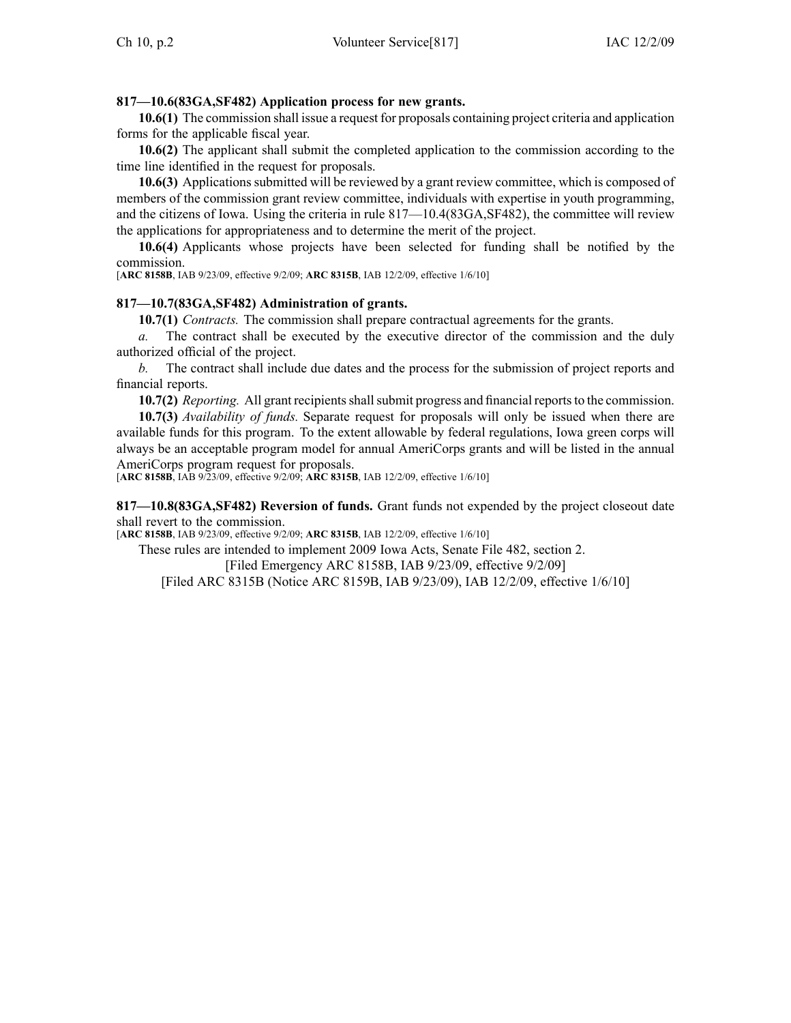## **817—10.6(83GA,SF482) Application process for new grants.**

**10.6(1)** The commission shall issue <sup>a</sup> reques<sup>t</sup> for proposals containing project criteria and application forms for the applicable fiscal year.

**10.6(2)** The applicant shall submit the completed application to the commission according to the time line identified in the reques<sup>t</sup> for proposals.

**10.6(3)** Applicationssubmitted will be reviewed by <sup>a</sup> gran<sup>t</sup> review committee, which is composed of members of the commission gran<sup>t</sup> review committee, individuals with expertise in youth programming, and the citizens of Iowa. Using the criteria in rule [817—10.4](https://www.legis.iowa.gov/docs/iac/rule/817.10.4.pdf)(83GA,SF482), the committee will review the applications for appropriateness and to determine the merit of the project.

**10.6(4)** Applicants whose projects have been selected for funding shall be notified by the commission.

[**ARC [8158B](https://www.legis.iowa.gov/docs/aco/arc/8158B.pdf)**, IAB 9/23/09, effective 9/2/09; **ARC [8315B](https://www.legis.iowa.gov/docs/aco/arc/8315B.pdf)**, IAB 12/2/09, effective 1/6/10]

## **817—10.7(83GA,SF482) Administration of grants.**

**10.7(1)** *Contracts.* The commission shall prepare contractual agreements for the grants.

*a.* The contract shall be executed by the executive director of the commission and the duly authorized official of the project.

*b.* The contract shall include due dates and the process for the submission of project reports and financial reports.

**10.7(2)** *Reporting.* All grant recipients shall submit progress and financial reports to the commission.

**10.7(3)** *Availability of funds.* Separate reques<sup>t</sup> for proposals will only be issued when there are available funds for this program. To the extent allowable by federal regulations, Iowa green corps will always be an acceptable program model for annual AmeriCorps grants and will be listed in the annual AmeriCorps program request for proposals.

[**ARC [8158B](https://www.legis.iowa.gov/docs/aco/arc/8158B.pdf)**, IAB 9/23/09, effective 9/2/09; **ARC [8315B](https://www.legis.iowa.gov/docs/aco/arc/8315B.pdf)**, IAB 12/2/09, effective 1/6/10]

**817—10.8(83GA,SF482) Reversion of funds.** Grant funds not expended by the project closeout date shall revert to the commission.

[**ARC [8158B](https://www.legis.iowa.gov/docs/aco/arc/8158B.pdf)**, IAB 9/23/09, effective 9/2/09; **ARC [8315B](https://www.legis.iowa.gov/docs/aco/arc/8315B.pdf)**, IAB 12/2/09, effective 1/6/10]

These rules are intended to implement 2009 Iowa Acts, Senate File 482, section 2. [Filed [Emergency](https://www.legis.iowa.gov/docs/aco/arc/8158B.pdf) ARC 8158B, IAB 9/23/09, effective 9/2/09] [[Filed](https://www.legis.iowa.gov/docs/aco/arc/8315B.pdf) ARC 8315B ([Notice](https://www.legis.iowa.gov/docs/aco/arc/8159B.pdf) ARC 8159B, IAB 9/23/09), IAB 12/2/09, effective 1/6/10]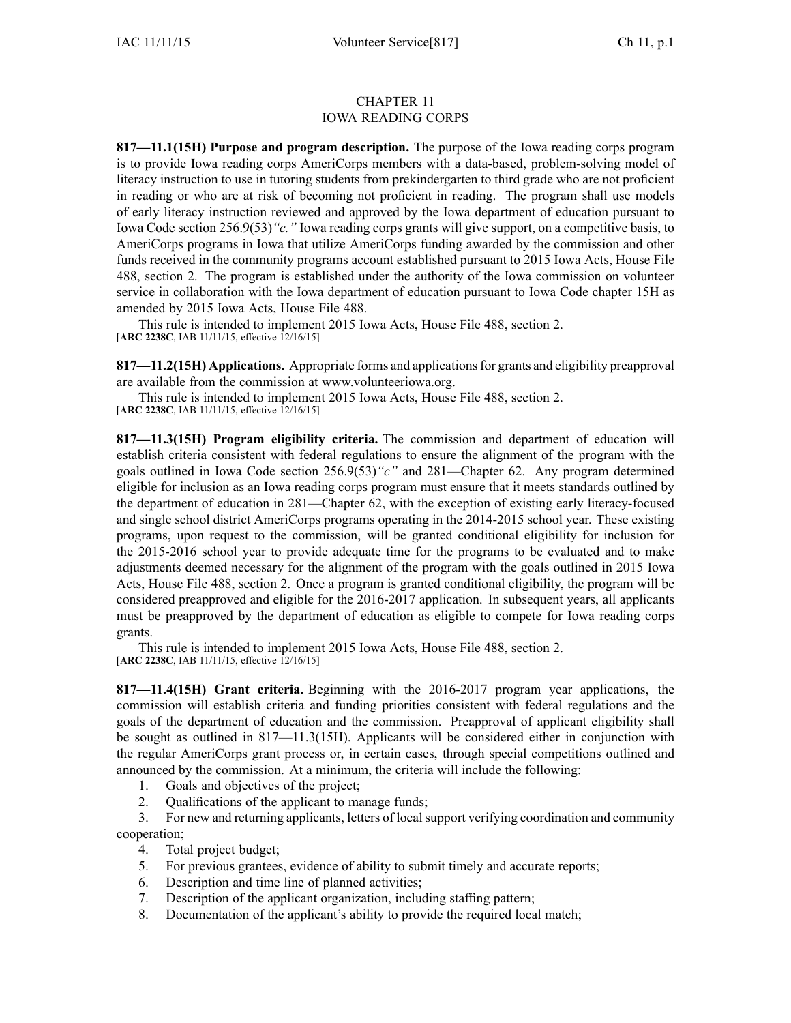### CHAPTER 11 IOWA READING CORPS

**817—11.1(15H) Purpose and program description.** The purpose of the Iowa reading corps program is to provide Iowa reading corps AmeriCorps members with <sup>a</sup> data-based, problem-solving model of literacy instruction to use in tutoring students from prekindergarten to third grade who are not proficient in reading or who are at risk of becoming not proficient in reading. The program shall use models of early literacy instruction reviewed and approved by the Iowa department of education pursuan<sup>t</sup> to Iowa Code section [256.9\(53\)](https://www.legis.iowa.gov/docs/ico/section/256.9.pdf)*"c."* Iowa reading corps grants will give support, on <sup>a</sup> competitive basis, to AmeriCorps programs in Iowa that utilize AmeriCorps funding awarded by the commission and other funds received in the community programs account established pursuan<sup>t</sup> to 2015 Iowa Acts, House File 488, section 2. The program is established under the authority of the Iowa commission on volunteer service in collaboration with the Iowa department of education pursuan<sup>t</sup> to Iowa Code chapter [15H](https://www.legis.iowa.gov/docs/ico/chapter/15H.pdf) as amended by 2015 Iowa Acts, House File 488.

This rule is intended to implement 2015 Iowa Acts, House File 488, section 2. [**ARC [2238C](https://www.legis.iowa.gov/docs/aco/arc/2238C.pdf)**, IAB 11/11/15, effective 12/16/15]

**817—11.2(15H) Applications.** Appropriate forms and applicationsfor grants and eligibility preapproval are available from the commission at www.volunteeriowa.org.

This rule is intended to implement 2015 Iowa Acts, House File 488, section 2. [**ARC [2238C](https://www.legis.iowa.gov/docs/aco/arc/2238C.pdf)**, IAB 11/11/15, effective 12/16/15]

**817—11.3(15H) Program eligibility criteria.** The commission and department of education will establish criteria consistent with federal regulations to ensure the alignment of the program with the goals outlined in Iowa Code section [256.9\(53\)](https://www.legis.iowa.gov/docs/ico/section/256.9.pdf)*"c"* and [281—Chapter](https://www.legis.iowa.gov/docs/iac/chapter/281.62.pdf) 62. Any program determined eligible for inclusion as an Iowa reading corps program must ensure that it meets standards outlined by the department of education in [281—Chapter](https://www.legis.iowa.gov/docs/iac/chapter/281.62.pdf) 62, with the exception of existing early literacy-focused and single school district AmeriCorps programs operating in the 2014-2015 school year. These existing programs, upon reques<sup>t</sup> to the commission, will be granted conditional eligibility for inclusion for the 2015-2016 school year to provide adequate time for the programs to be evaluated and to make adjustments deemed necessary for the alignment of the program with the goals outlined in 2015 Iowa Acts, House File 488, section 2. Once <sup>a</sup> program is granted conditional eligibility, the program will be considered preapproved and eligible for the 2016-2017 application. In subsequent years, all applicants must be preapproved by the department of education as eligible to compete for Iowa reading corps grants.

This rule is intended to implement 2015 Iowa Acts, House File 488, section 2. [**ARC [2238C](https://www.legis.iowa.gov/docs/aco/arc/2238C.pdf)**, IAB 11/11/15, effective 12/16/15]

**817—11.4(15H) Grant criteria.** Beginning with the 2016-2017 program year applications, the commission will establish criteria and funding priorities consistent with federal regulations and the goals of the department of education and the commission. Preapproval of applicant eligibility shall be sought as outlined in [817—11.3](https://www.legis.iowa.gov/docs/iac/rule/817.11.3.pdf)(15H). Applicants will be considered either in conjunction with the regular AmeriCorps gran<sup>t</sup> process or, in certain cases, through special competitions outlined and announced by the commission. At <sup>a</sup> minimum, the criteria will include the following:

- 1. Goals and objectives of the project;
- 2. Qualifications of the applicant to manage funds;

3. For new and returning applicants, letters of localsupport verifying coordination and community cooperation;

- 4. Total project budget;
- 5. For previous grantees, evidence of ability to submit timely and accurate reports;
- 6. Description and time line of planned activities;
- 7. Description of the applicant organization, including staffing pattern;
- 8. Documentation of the applicant's ability to provide the required local match;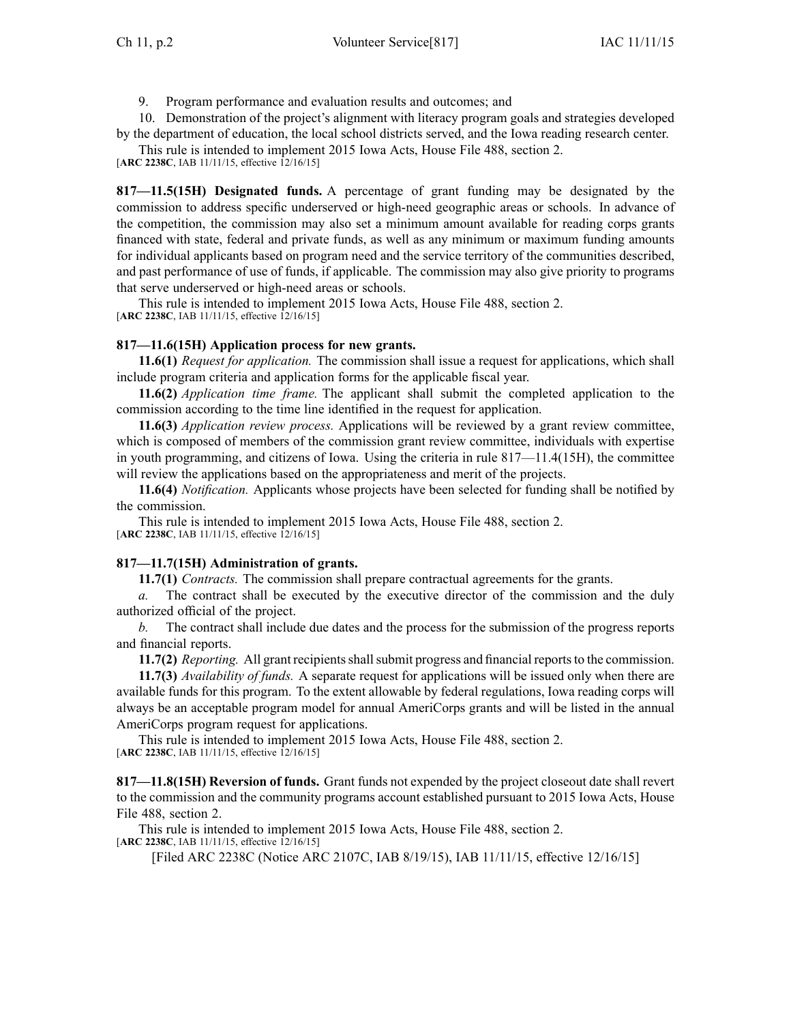9. Program performance and evaluation results and outcomes; and

10. Demonstration of the project's alignment with literacy program goals and strategies developed by the department of education, the local school districts served, and the Iowa reading research center.

This rule is intended to implement 2015 Iowa Acts, House File 488, section 2.

[**ARC [2238C](https://www.legis.iowa.gov/docs/aco/arc/2238C.pdf)**, IAB 11/11/15, effective 12/16/15]

**817—11.5(15H) Designated funds.** A percentage of gran<sup>t</sup> funding may be designated by the commission to address specific underserved or high-need geographic areas or schools. In advance of the competition, the commission may also set <sup>a</sup> minimum amount available for reading corps grants financed with state, federal and private funds, as well as any minimum or maximum funding amounts for individual applicants based on program need and the service territory of the communities described, and pas<sup>t</sup> performance of use of funds, if applicable. The commission may also give priority to programs that serve underserved or high-need areas or schools.

This rule is intended to implement 2015 Iowa Acts, House File 488, section 2. [**ARC [2238C](https://www.legis.iowa.gov/docs/aco/arc/2238C.pdf)**, IAB 11/11/15, effective 12/16/15]

## **817—11.6(15H) Application process for new grants.**

**11.6(1)** *Request for application.* The commission shall issue <sup>a</sup> reques<sup>t</sup> for applications, which shall include program criteria and application forms for the applicable fiscal year.

**11.6(2)** *Application time frame.* The applicant shall submit the completed application to the commission according to the time line identified in the reques<sup>t</sup> for application.

**11.6(3)** *Application review process.* Applications will be reviewed by <sup>a</sup> gran<sup>t</sup> review committee, which is composed of members of the commission gran<sup>t</sup> review committee, individuals with expertise in youth programming, and citizens of Iowa. Using the criteria in rule  $817-11.4(15H)$ , the committee will review the applications based on the appropriateness and merit of the projects.

**11.6(4)** *Notification.* Applicants whose projects have been selected for funding shall be notified by the commission.

This rule is intended to implement 2015 Iowa Acts, House File 488, section 2. [**ARC [2238C](https://www.legis.iowa.gov/docs/aco/arc/2238C.pdf)**, IAB 11/11/15, effective 12/16/15]

# **817—11.7(15H) Administration of grants.**

**11.7(1)** *Contracts.* The commission shall prepare contractual agreements for the grants.

*a.* The contract shall be executed by the executive director of the commission and the duly authorized official of the project.

*b.* The contract shall include due dates and the process for the submission of the progress reports and financial reports.

**11.7(2)** *Reporting.* All grant recipients shall submit progress and financial reports to the commission.

**11.7(3)** *Availability of funds.* A separate reques<sup>t</sup> for applications will be issued only when there are available funds for this program. To the extent allowable by federal regulations, Iowa reading corps will always be an acceptable program model for annual AmeriCorps grants and will be listed in the annual AmeriCorps program reques<sup>t</sup> for applications.

This rule is intended to implement 2015 Iowa Acts, House File 488, section 2. [**ARC [2238C](https://www.legis.iowa.gov/docs/aco/arc/2238C.pdf)**, IAB 11/11/15, effective 12/16/15]

**817—11.8(15H) Reversion of funds.** Grant funds not expended by the project closeout date shall revert to the commission and the community programs account established pursuan<sup>t</sup> to 2015 Iowa Acts, House File 488, section 2.

This rule is intended to implement 2015 Iowa Acts, House File 488, section 2.

[**ARC [2238C](https://www.legis.iowa.gov/docs/aco/arc/2238C.pdf)**, IAB 11/11/15, effective 12/16/15]

[Filed ARC [2238C](https://www.legis.iowa.gov/docs/aco/arc/2238C.pdf) [\(Notice](https://www.legis.iowa.gov/docs/aco/arc/2107C.pdf) ARC 2107C, IAB 8/19/15), IAB 11/11/15, effective 12/16/15]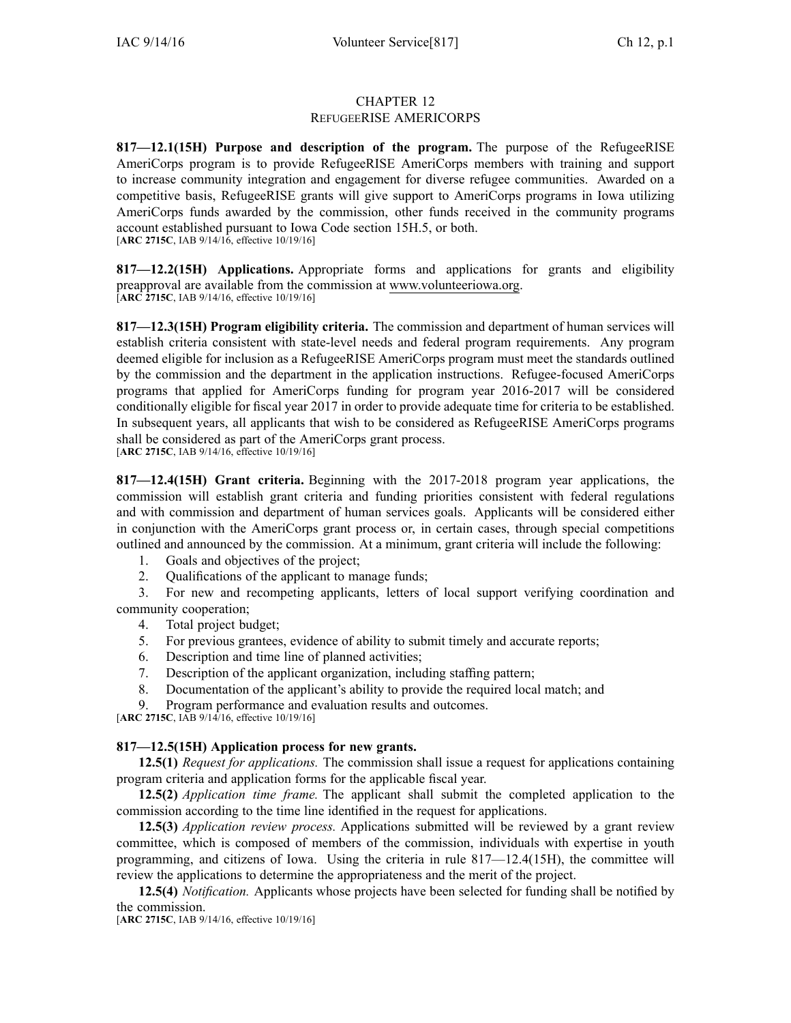## CHAPTER 12 REFUGEERISE AMERICORPS

**817—12.1(15H) Purpose and description of the program.** The purpose of the RefugeeRISE AmeriCorps program is to provide RefugeeRISE AmeriCorps members with training and suppor<sup>t</sup> to increase community integration and engagemen<sup>t</sup> for diverse refugee communities. Awarded on <sup>a</sup> competitive basis, RefugeeRISE grants will give suppor<sup>t</sup> to AmeriCorps programs in Iowa utilizing AmeriCorps funds awarded by the commission, other funds received in the community programs account established pursuan<sup>t</sup> to Iowa Code section [15H.5](https://www.legis.iowa.gov/docs/ico/section/2016/15H.5.pdf), or both. [**ARC [2715C](https://www.legis.iowa.gov/docs/aco/arc/2715C.pdf)**, IAB 9/14/16, effective 10/19/16]

**817—12.2(15H) Applications.** Appropriate forms and applications for grants and eligibility preapproval are available from the commission at [www.volunteeriowa.org](http://www.volunteeriowa.org). [**ARC [2715C](https://www.legis.iowa.gov/docs/aco/arc/2715C.pdf)**, IAB 9/14/16, effective 10/19/16]

**817—12.3(15H) Program eligibility criteria.** The commission and department of human services will establish criteria consistent with state-level needs and federal program requirements. Any program deemed eligible for inclusion as <sup>a</sup> RefugeeRISE AmeriCorps program must meet the standards outlined by the commission and the department in the application instructions. Refugee-focused AmeriCorps programs that applied for AmeriCorps funding for program year 2016-2017 will be considered conditionally eligible for fiscal year 2017 in order to provide adequate time for criteria to be established. In subsequent years, all applicants that wish to be considered as RefugeeRISE AmeriCorps programs shall be considered as par<sup>t</sup> of the AmeriCorps gran<sup>t</sup> process. [**ARC [2715C](https://www.legis.iowa.gov/docs/aco/arc/2715C.pdf)**, IAB 9/14/16, effective 10/19/16]

**817—12.4(15H) Grant criteria.** Beginning with the 2017-2018 program year applications, the commission will establish gran<sup>t</sup> criteria and funding priorities consistent with federal regulations and with commission and department of human services goals. Applicants will be considered either in conjunction with the AmeriCorps gran<sup>t</sup> process or, in certain cases, through special competitions outlined and announced by the commission. At <sup>a</sup> minimum, gran<sup>t</sup> criteria will include the following:

- 1. Goals and objectives of the project;
- 2. Qualifications of the applicant to manage funds;

3. For new and recompeting applicants, letters of local suppor<sup>t</sup> verifying coordination and community cooperation;

- 4. Total project budget;
- 5. For previous grantees, evidence of ability to submit timely and accurate reports;
- 6. Description and time line of planned activities;
- 7. Description of the applicant organization, including staffing pattern;
- 8. Documentation of the applicant's ability to provide the required local match; and

Program performance and evaluation results and outcomes.

[**ARC [2715C](https://www.legis.iowa.gov/docs/aco/arc/2715C.pdf)**, IAB 9/14/16, effective 10/19/16]

# **817—12.5(15H) Application process for new grants.**

**12.5(1)** *Request for applications.* The commission shall issue <sup>a</sup> reques<sup>t</sup> for applications containing program criteria and application forms for the applicable fiscal year.

**12.5(2)** *Application time frame.* The applicant shall submit the completed application to the commission according to the time line identified in the reques<sup>t</sup> for applications.

**12.5(3)** *Application review process.* Applications submitted will be reviewed by <sup>a</sup> gran<sup>t</sup> review committee, which is composed of members of the commission, individuals with expertise in youth programming, and citizens of Iowa. Using the criteria in rule [817—12.4](https://www.legis.iowa.gov/docs/iac/rule/817.12.4.pdf)(15H), the committee will review the applications to determine the appropriateness and the merit of the project.

**12.5(4)** *Notification.* Applicants whose projects have been selected for funding shall be notified by the commission.

[**ARC [2715C](https://www.legis.iowa.gov/docs/aco/arc/2715C.pdf)**, IAB 9/14/16, effective 10/19/16]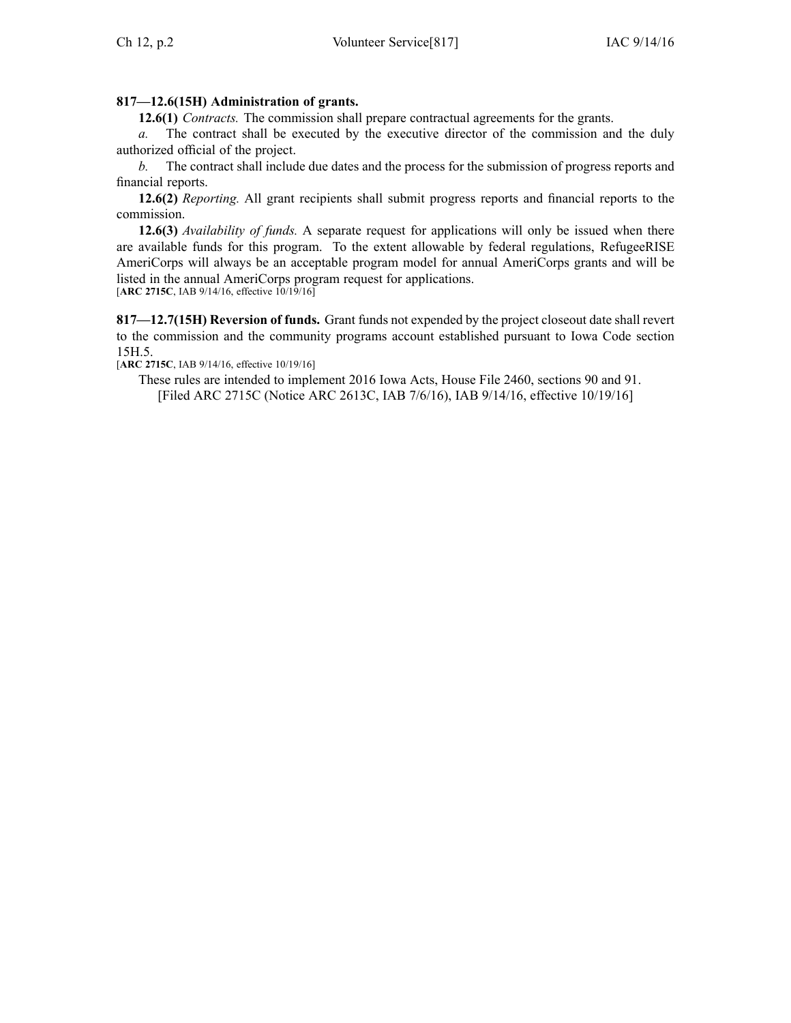# **817—12.6(15H) Administration of grants.**

**12.6(1)** *Contracts.* The commission shall prepare contractual agreements for the grants.

*a.* The contract shall be executed by the executive director of the commission and the duly authorized official of the project.

*b.* The contract shall include due dates and the process for the submission of progress reports and financial reports.

**12.6(2)** *Reporting.* All gran<sup>t</sup> recipients shall submit progress reports and financial reports to the commission.

**12.6(3)** *Availability of funds.* A separate reques<sup>t</sup> for applications will only be issued when there are available funds for this program. To the extent allowable by federal regulations, RefugeeRISE AmeriCorps will always be an acceptable program model for annual AmeriCorps grants and will be listed in the annual AmeriCorps program reques<sup>t</sup> for applications. [**ARC [2715C](https://www.legis.iowa.gov/docs/aco/arc/2715C.pdf)**, IAB 9/14/16, effective 10/19/16]

**817—12.7(15H) Reversion of funds.** Grant funds not expended by the project closeout date shall revert to the commission and the community programs account established pursuan<sup>t</sup> to Iowa Code section [15H.5](https://www.legis.iowa.gov/docs/ico/section/2016/15H.5.pdf).

[**ARC [2715C](https://www.legis.iowa.gov/docs/aco/arc/2715C.pdf)**, IAB 9/14/16, effective 10/19/16]

These rules are intended to implement 2016 Iowa Acts, House File 2460, sections 90 and 91. [Filed ARC [2715C](https://www.legis.iowa.gov/docs/aco/arc/2715C.pdf) ([Notice](https://www.legis.iowa.gov/docs/aco/arc/2613C.pdf) ARC 2613C, IAB 7/6/16), IAB 9/14/16, effective 10/19/16]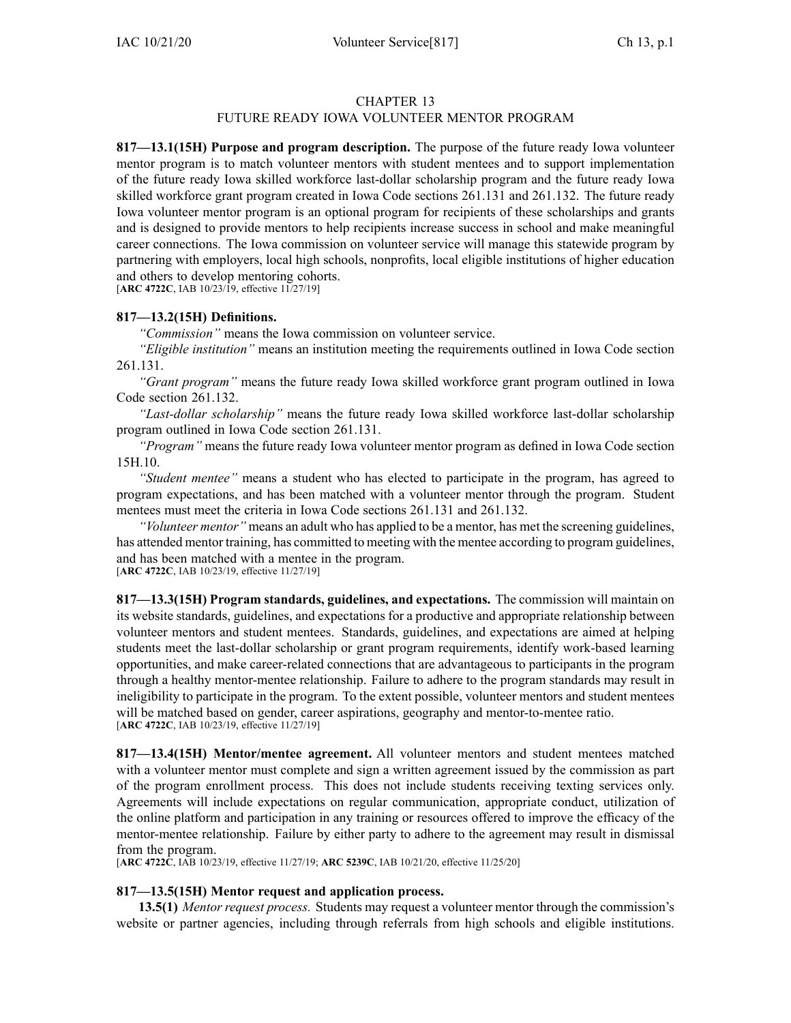# FUTURE READY IOWA VOLUNTEER MENTOR PROGRAM

**817—13.1(15H) Purpose and program description.** The purpose of the future ready Iowa volunteer mentor program is to match volunteer mentors with student mentees and to suppor<sup>t</sup> implementation of the future ready Iowa skilled workforce last-dollar scholarship program and the future ready Iowa skilled workforce gran<sup>t</sup> program created in Iowa Code sections [261.131](https://www.legis.iowa.gov/docs/ico/section/261.131.pdf) and [261.132](https://www.legis.iowa.gov/docs/ico/section/261.132.pdf). The future ready Iowa volunteer mentor program is an optional program for recipients of these scholarships and grants and is designed to provide mentors to help recipients increase success in school and make meaningful career connections. The Iowa commission on volunteer service will manage this statewide program by partnering with employers, local high schools, nonprofits, local eligible institutions of higher education and others to develop mentoring cohorts. [**ARC [4722C](https://www.legis.iowa.gov/docs/aco/arc/4722C.pdf)**, IAB 10/23/19, effective 11/27/19]

**817—13.2(15H) Definitions.**

*"Commission"* means the Iowa commission on volunteer service.

*"Eligible institution"* means an institution meeting the requirements outlined in Iowa Code section [261.131](https://www.legis.iowa.gov/docs/ico/section/261.131.pdf).

*"Grant program"* means the future ready Iowa skilled workforce gran<sup>t</sup> program outlined in Iowa Code section [261.132](https://www.legis.iowa.gov/docs/ico/section/261.132.pdf).

*"Last-dollar scholarship"* means the future ready Iowa skilled workforce last-dollar scholarship program outlined in Iowa Code section [261.131](https://www.legis.iowa.gov/docs/ico/section/261.131.pdf).

*"Program"* means the future ready Iowa volunteer mentor program as defined in Iowa Code section [15H.10](https://www.legis.iowa.gov/docs/ico/section/15H.10.pdf).

*"Student mentee"* means <sup>a</sup> student who has elected to participate in the program, has agreed to program expectations, and has been matched with <sup>a</sup> volunteer mentor through the program. Student mentees must meet the criteria in Iowa Code sections [261.131](https://www.legis.iowa.gov/docs/ico/section/261.131.pdf) and [261.132](https://www.legis.iowa.gov/docs/ico/section/261.132.pdf).

*"Volunteer mentor"* means an adult who has applied to be <sup>a</sup> mentor, has met the screening guidelines, has attended mentor training, has committed to meeting with the mentee according to program guidelines, and has been matched with <sup>a</sup> mentee in the program. [**ARC [4722C](https://www.legis.iowa.gov/docs/aco/arc/4722C.pdf)**, IAB 10/23/19, effective 11/27/19]

**817—13.3(15H) Program standards, guidelines, and expectations.** The commission will maintain on its website standards, guidelines, and expectations for <sup>a</sup> productive and appropriate relationship between volunteer mentors and student mentees. Standards, guidelines, and expectations are aimed at helping students meet the last-dollar scholarship or gran<sup>t</sup> program requirements, identify work-based learning opportunities, and make career-related connections that are advantageous to participants in the program through <sup>a</sup> healthy mentor-mentee relationship. Failure to adhere to the program standards may result in ineligibility to participate in the program. To the extent possible, volunteer mentors and student mentees will be matched based on gender, career aspirations, geography and mentor-to-mentee ratio. [**ARC [4722C](https://www.legis.iowa.gov/docs/aco/arc/4722C.pdf)**, IAB 10/23/19, effective 11/27/19]

**817—13.4(15H) Mentor/mentee agreement.** All volunteer mentors and student mentees matched with <sup>a</sup> volunteer mentor must complete and sign <sup>a</sup> written agreemen<sup>t</sup> issued by the commission as par<sup>t</sup> of the program enrollment process. This does not include students receiving texting services only. Agreements will include expectations on regular communication, appropriate conduct, utilization of the online platform and participation in any training or resources offered to improve the efficacy of the mentor-mentee relationship. Failure by either party to adhere to the agreemen<sup>t</sup> may result in dismissal from the program.

[**ARC [4722C](https://www.legis.iowa.gov/docs/aco/arc/4722C.pdf)**, IAB 10/23/19, effective 11/27/19; **ARC [5239C](https://www.legis.iowa.gov/docs/aco/arc/5239C.pdf)**, IAB 10/21/20, effective 11/25/20]

## **817—13.5(15H) Mentor request and application process.**

**13.5(1)** *Mentor reques<sup>t</sup> process.* Students may reques<sup>t</sup> <sup>a</sup> volunteer mentor through the commission's website or partner agencies, including through referrals from high schools and eligible institutions.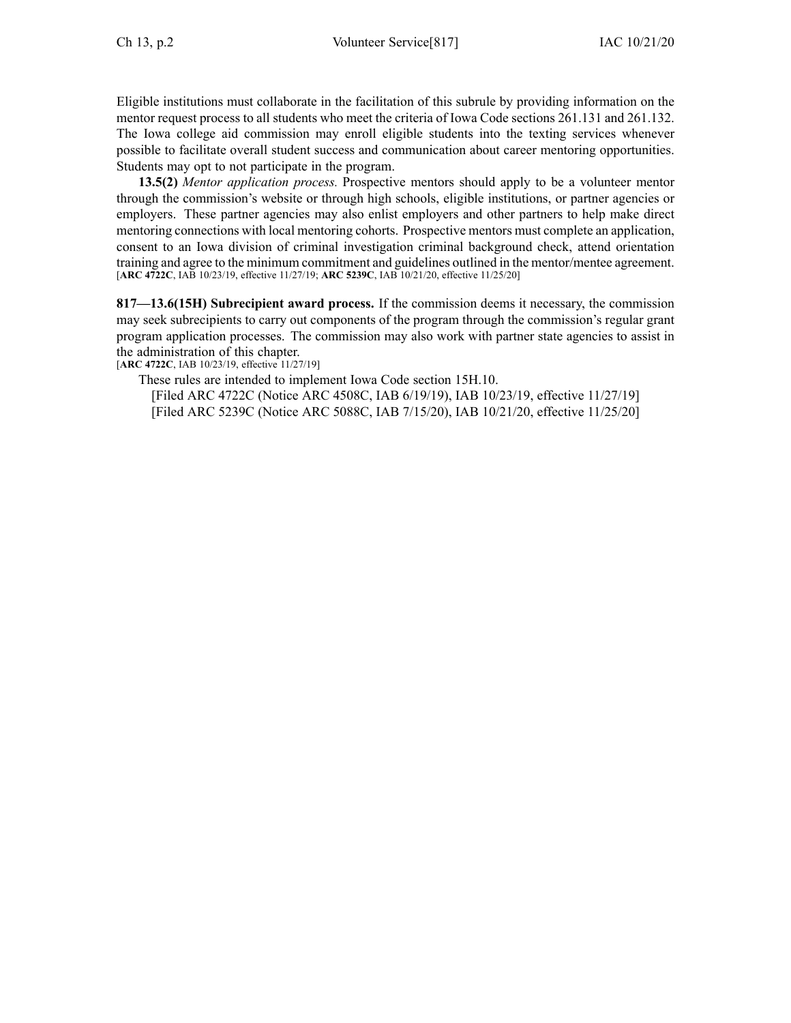Eligible institutions must collaborate in the facilitation of this subrule by providing information on the mentor reques<sup>t</sup> process to all students who meet the criteria of Iowa Code sections [261.131](https://www.legis.iowa.gov/docs/ico/section/261.131.pdf) and [261.132](https://www.legis.iowa.gov/docs/ico/section/261.132.pdf). The Iowa college aid commission may enroll eligible students into the texting services whenever possible to facilitate overall student success and communication about career mentoring opportunities. Students may op<sup>t</sup> to not participate in the program.

**13.5(2)** *Mentor application process.* Prospective mentors should apply to be <sup>a</sup> volunteer mentor through the commission's website or through high schools, eligible institutions, or partner agencies or employers. These partner agencies may also enlist employers and other partners to help make direct mentoring connections with local mentoring cohorts. Prospective mentors must complete an application, consent to an Iowa division of criminal investigation criminal background check, attend orientation training and agree to the minimum commitment and guidelines outlined in the mentor/mentee agreement. [**ARC [4722C](https://www.legis.iowa.gov/docs/aco/arc/4722C.pdf)**, IAB 10/23/19, effective 11/27/19; **ARC [5239C](https://www.legis.iowa.gov/docs/aco/arc/5239C.pdf)**, IAB 10/21/20, effective 11/25/20]

**817—13.6(15H) Subrecipient award process.** If the commission deems it necessary, the commission may seek subrecipients to carry out components of the program through the commission's regular gran<sup>t</sup> program application processes. The commission may also work with partner state agencies to assist in the administration of this chapter.

[**ARC [4722C](https://www.legis.iowa.gov/docs/aco/arc/4722C.pdf)**, IAB 10/23/19, effective 11/27/19]

These rules are intended to implement Iowa Code section [15H.10](https://www.legis.iowa.gov/docs/ico/section/15H.10.pdf).

[Filed ARC [4722C](https://www.legis.iowa.gov/docs/aco/arc/4722C.pdf) ([Notice](https://www.legis.iowa.gov/docs/aco/arc/4508C.pdf) ARC 4508C, IAB 6/19/19), IAB 10/23/19, effective 11/27/19] [Filed ARC [5239C](https://www.legis.iowa.gov/docs/aco/arc/5239C.pdf) ([Notice](https://www.legis.iowa.gov/docs/aco/arc/5088C.pdf) ARC 5088C, IAB 7/15/20), IAB 10/21/20, effective 11/25/20]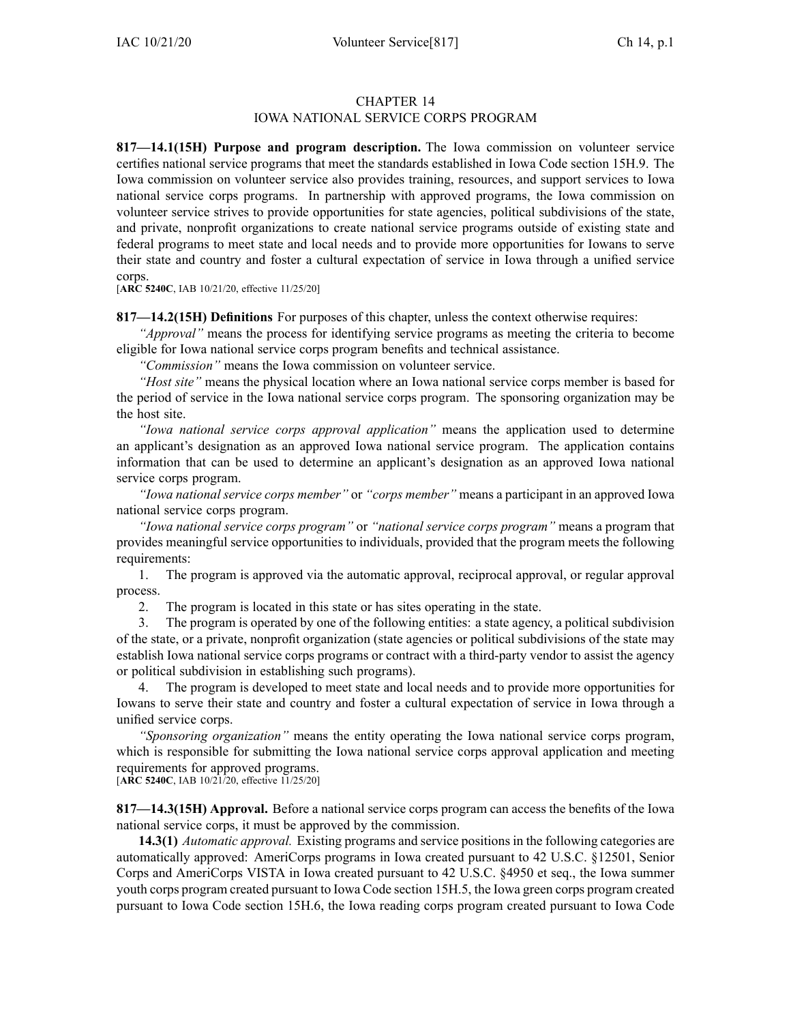## IOWA NATIONAL SERVICE CORPS PROGRAM

**817—14.1(15H) Purpose and program description.** The Iowa commission on volunteer service certifies national service programs that meet the standards established in Iowa Code section [15H.9](https://www.legis.iowa.gov/docs/ico/section/15H.9.pdf). The Iowa commission on volunteer service also provides training, resources, and suppor<sup>t</sup> services to Iowa national service corps programs. In partnership with approved programs, the Iowa commission on volunteer service strives to provide opportunities for state agencies, political subdivisions of the state, and private, nonprofit organizations to create national service programs outside of existing state and federal programs to meet state and local needs and to provide more opportunities for Iowans to serve their state and country and foster <sup>a</sup> cultural expectation of service in Iowa through <sup>a</sup> unified service corps.

[**ARC [5240C](https://www.legis.iowa.gov/docs/aco/arc/5240C.pdf)**, IAB 10/21/20, effective 11/25/20]

**817—14.2(15H) Definitions** For purposes of this chapter, unless the context otherwise requires:

*"Approval"* means the process for identifying service programs as meeting the criteria to become eligible for Iowa national service corps program benefits and technical assistance.

*"Commission"* means the Iowa commission on volunteer service.

*"Host site"* means the physical location where an Iowa national service corps member is based for the period of service in the Iowa national service corps program. The sponsoring organization may be the host site.

*"Iowa national service corps approval application"* means the application used to determine an applicant's designation as an approved Iowa national service program. The application contains information that can be used to determine an applicant's designation as an approved Iowa national service corps program.

*"Iowa national service corps member"* or *"corps member"* means <sup>a</sup> participant in an approved Iowa national service corps program.

*"Iowa national service corps program"* or *"national service corps program"* means <sup>a</sup> program that provides meaningful service opportunities to individuals, provided that the program meets the following requirements:

1. The program is approved via the automatic approval, reciprocal approval, or regular approval process.

2. The program is located in this state or has sites operating in the state.

3. The program is operated by one of the following entities: <sup>a</sup> state agency, <sup>a</sup> political subdivision of the state, or <sup>a</sup> private, nonprofit organization (state agencies or political subdivisions of the state may establish Iowa national service corps programs or contract with <sup>a</sup> third-party vendor to assist the agency or political subdivision in establishing such programs).

4. The program is developed to meet state and local needs and to provide more opportunities for Iowans to serve their state and country and foster <sup>a</sup> cultural expectation of service in Iowa through <sup>a</sup> unified service corps.

*"Sponsoring organization"* means the entity operating the Iowa national service corps program, which is responsible for submitting the Iowa national service corps approval application and meeting requirements for approved programs.

[**ARC [5240C](https://www.legis.iowa.gov/docs/aco/arc/5240C.pdf)**, IAB 10/21/20, effective 11/25/20]

**817—14.3(15H) Approval.** Before <sup>a</sup> national service corps program can access the benefits of the Iowa national service corps, it must be approved by the commission.

**14.3(1)** *Automatic approval.* Existing programs and service positions in the following categories are automatically approved: AmeriCorps programs in Iowa created pursuan<sup>t</sup> to 42 U.S.C. §12501, Senior Corps and AmeriCorps VISTA in Iowa created pursuan<sup>t</sup> to 42 U.S.C. §4950 et seq., the Iowa summer youth corps program created pursuan<sup>t</sup> to Iowa Code section [15H.5](https://www.legis.iowa.gov/docs/ico/section/15H.5.pdf), the Iowa green corps program created pursuan<sup>t</sup> to Iowa Code section [15H.6](https://www.legis.iowa.gov/docs/ico/section/15H.6.pdf), the Iowa reading corps program created pursuan<sup>t</sup> to Iowa Code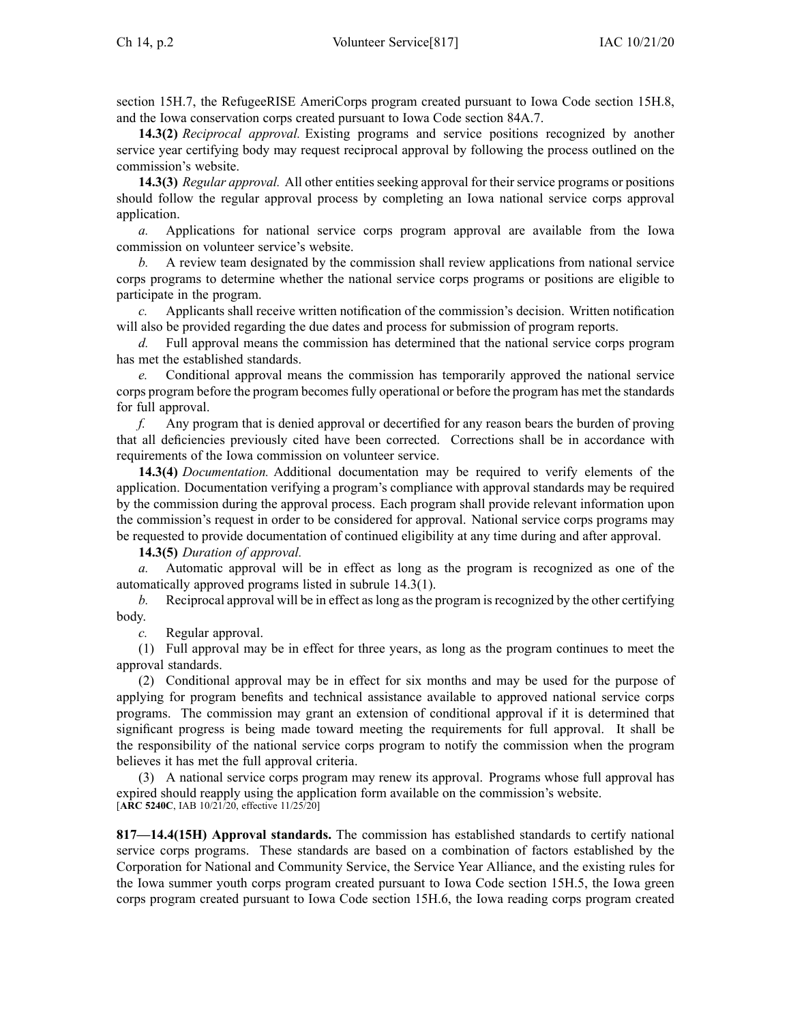section [15H.7](https://www.legis.iowa.gov/docs/ico/section/15H.7.pdf), the RefugeeRISE AmeriCorps program created pursuan<sup>t</sup> to Iowa Code section [15H.8](https://www.legis.iowa.gov/docs/ico/section/15H.8.pdf), and the Iowa conservation corps created pursuan<sup>t</sup> to Iowa Code section [84A.7](https://www.legis.iowa.gov/docs/ico/section/84A.7.pdf).

**14.3(2)** *Reciprocal approval.* Existing programs and service positions recognized by another service year certifying body may reques<sup>t</sup> reciprocal approval by following the process outlined on the commission's website.

**14.3(3)** *Regular approval.* All other entities seeking approval for their service programs or positions should follow the regular approval process by completing an Iowa national service corps approval application.

*a.* Applications for national service corps program approval are available from the Iowa commission on volunteer service's website.

*b.* A review team designated by the commission shall review applications from national service corps programs to determine whether the national service corps programs or positions are eligible to participate in the program.

*c.* Applicants shall receive written notification of the commission's decision. Written notification will also be provided regarding the due dates and process for submission of program reports.

*d.* Full approval means the commission has determined that the national service corps program has met the established standards.

*e.* Conditional approval means the commission has temporarily approved the national service corps program before the program becomesfully operational or before the program has met the standards for full approval.

*f.* Any program that is denied approval or decertified for any reason bears the burden of proving that all deficiencies previously cited have been corrected. Corrections shall be in accordance with requirements of the Iowa commission on volunteer service.

**14.3(4)** *Documentation.* Additional documentation may be required to verify elements of the application. Documentation verifying <sup>a</sup> program's compliance with approval standards may be required by the commission during the approval process. Each program shall provide relevant information upon the commission's reques<sup>t</sup> in order to be considered for approval. National service corps programs may be requested to provide documentation of continued eligibility at any time during and after approval.

**14.3(5)** *Duration of approval.*

Automatic approval will be in effect as long as the program is recognized as one of the automatically approved programs listed in subrule [14.3\(1\)](https://www.legis.iowa.gov/docs/iac/rule/817.14.3.pdf).

*b.* Reciprocal approval will be in effect aslong asthe program isrecognized by the other certifying body.

*c.* Regular approval.

(1) Full approval may be in effect for three years, as long as the program continues to meet the approval standards.

(2) Conditional approval may be in effect for six months and may be used for the purpose of applying for program benefits and technical assistance available to approved national service corps programs. The commission may gran<sup>t</sup> an extension of conditional approval if it is determined that significant progress is being made toward meeting the requirements for full approval. It shall be the responsibility of the national service corps program to notify the commission when the program believes it has met the full approval criteria.

(3) A national service corps program may renew its approval. Programs whose full approval has expired should reapply using the application form available on the commission's website. [**ARC [5240C](https://www.legis.iowa.gov/docs/aco/arc/5240C.pdf)**, IAB 10/21/20, effective 11/25/20]

**817—14.4(15H) Approval standards.** The commission has established standards to certify national service corps programs. These standards are based on <sup>a</sup> combination of factors established by the Corporation for National and Community Service, the Service Year Alliance, and the existing rules for the Iowa summer youth corps program created pursuan<sup>t</sup> to Iowa Code section [15H.5](https://www.legis.iowa.gov/docs/ico/section/15H.5.pdf), the Iowa green corps program created pursuan<sup>t</sup> to Iowa Code section [15H.6](https://www.legis.iowa.gov/docs/ico/section/15H.6.pdf), the Iowa reading corps program created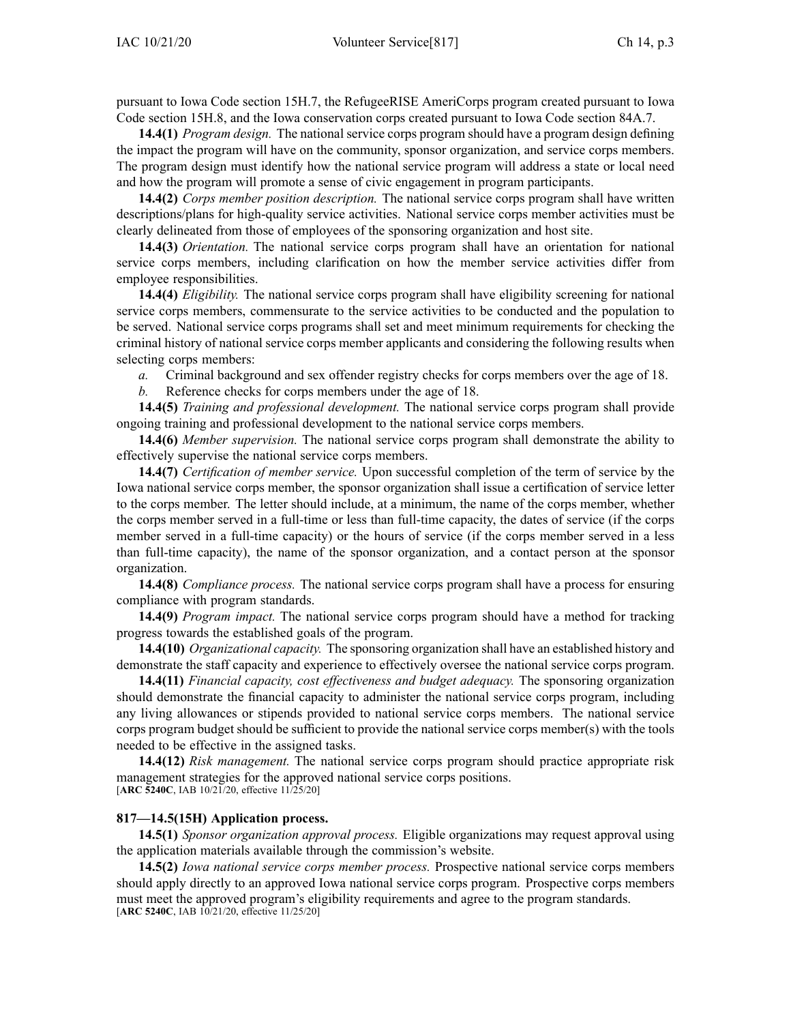pursuan<sup>t</sup> to Iowa Code section [15H.7](https://www.legis.iowa.gov/docs/ico/section/15H.7.pdf), the RefugeeRISE AmeriCorps program created pursuan<sup>t</sup> to Iowa Code section [15H.8](https://www.legis.iowa.gov/docs/ico/section/15H.8.pdf), and the Iowa conservation corps created pursuan<sup>t</sup> to Iowa Code section [84A.7](https://www.legis.iowa.gov/docs/ico/section/84A.7.pdf).

**14.4(1)** *Program design.* The national service corps program should have <sup>a</sup> program design defining the impact the program will have on the community, sponsor organization, and service corps members. The program design must identify how the national service program will address <sup>a</sup> state or local need and how the program will promote <sup>a</sup> sense of civic engagemen<sup>t</sup> in program participants.

**14.4(2)** *Corps member position description.* The national service corps program shall have written descriptions/plans for high-quality service activities. National service corps member activities must be clearly delineated from those of employees of the sponsoring organization and host site.

**14.4(3)** *Orientation.* The national service corps program shall have an orientation for national service corps members, including clarification on how the member service activities differ from employee responsibilities.

**14.4(4)** *Eligibility.* The national service corps program shall have eligibility screening for national service corps members, commensurate to the service activities to be conducted and the population to be served. National service corps programs shall set and meet minimum requirements for checking the criminal history of national service corps member applicants and considering the following results when selecting corps members:

*a.* Criminal background and sex offender registry checks for corps members over the age of 18.

*b.* Reference checks for corps members under the age of 18.

**14.4(5)** *Training and professional development.* The national service corps program shall provide ongoing training and professional development to the national service corps members.

**14.4(6)** *Member supervision.* The national service corps program shall demonstrate the ability to effectively supervise the national service corps members.

**14.4(7)** *Certification of member service.* Upon successful completion of the term of service by the Iowa national service corps member, the sponsor organization shall issue <sup>a</sup> certification of service letter to the corps member. The letter should include, at <sup>a</sup> minimum, the name of the corps member, whether the corps member served in <sup>a</sup> full-time or less than full-time capacity, the dates of service (if the corps member served in <sup>a</sup> full-time capacity) or the hours of service (if the corps member served in <sup>a</sup> less than full-time capacity), the name of the sponsor organization, and <sup>a</sup> contact person at the sponsor organization.

**14.4(8)** *Compliance process.* The national service corps program shall have <sup>a</sup> process for ensuring compliance with program standards.

**14.4(9)** *Program impact.* The national service corps program should have <sup>a</sup> method for tracking progress towards the established goals of the program.

**14.4(10)** *Organizational capacity.* The sponsoring organization shall have an established history and demonstrate the staff capacity and experience to effectively oversee the national service corps program.

**14.4(11)** *Financial capacity, cost effectiveness and budget adequacy.* The sponsoring organization should demonstrate the financial capacity to administer the national service corps program, including any living allowances or stipends provided to national service corps members. The national service corps program budget should be sufficient to provide the national service corps member(s) with the tools needed to be effective in the assigned tasks.

**14.4(12)** *Risk management.* The national service corps program should practice appropriate risk managemen<sup>t</sup> strategies for the approved national service corps positions. [**ARC [5240C](https://www.legis.iowa.gov/docs/aco/arc/5240C.pdf)**, IAB 10/21/20, effective 11/25/20]

#### **817—14.5(15H) Application process.**

**14.5(1)** *Sponsor organization approval process.* Eligible organizations may reques<sup>t</sup> approval using the application materials available through the commission's website.

**14.5(2)** *Iowa national service corps member process.* Prospective national service corps members should apply directly to an approved Iowa national service corps program. Prospective corps members must meet the approved program's eligibility requirements and agree to the program standards. [**ARC [5240C](https://www.legis.iowa.gov/docs/aco/arc/5240C.pdf)**, IAB 10/21/20, effective 11/25/20]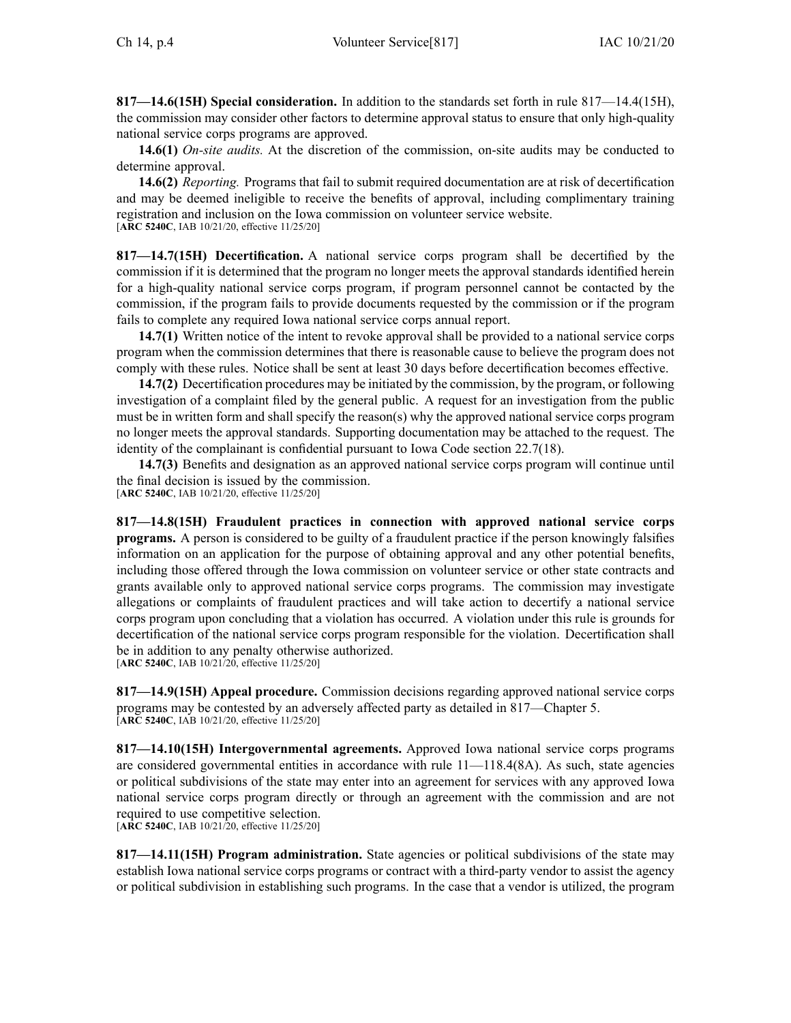**817—14.6(15H) Special consideration.** In addition to the standards set forth in rule [817—14.4](https://www.legis.iowa.gov/docs/iac/rule/817.14.4.pdf)(15H), the commission may consider other factors to determine approval status to ensure that only high-quality national service corps programs are approved.

**14.6(1)** *On-site audits.* At the discretion of the commission, on-site audits may be conducted to determine approval.

**14.6(2)** *Reporting.* Programs that fail to submit required documentation are at risk of decertification and may be deemed ineligible to receive the benefits of approval, including complimentary training registration and inclusion on the Iowa commission on volunteer service website. [**ARC [5240C](https://www.legis.iowa.gov/docs/aco/arc/5240C.pdf)**, IAB 10/21/20, effective 11/25/20]

**817—14.7(15H) Decertification.** A national service corps program shall be decertified by the commission if it is determined that the program no longer meets the approval standards identified herein for <sup>a</sup> high-quality national service corps program, if program personnel cannot be contacted by the commission, if the program fails to provide documents requested by the commission or if the program fails to complete any required Iowa national service corps annual report.

**14.7(1)** Written notice of the intent to revoke approval shall be provided to <sup>a</sup> national service corps program when the commission determines that there is reasonable cause to believe the program does not comply with these rules. Notice shall be sent at least 30 days before decertification becomes effective.

**14.7(2)** Decertification procedures may be initiated by the commission, by the program, or following investigation of <sup>a</sup> complaint filed by the general public. A reques<sup>t</sup> for an investigation from the public must be in written form and shall specify the reason(s) why the approved national service corps program no longer meets the approval standards. Supporting documentation may be attached to the request. The identity of the complainant is confidential pursuan<sup>t</sup> to Iowa Code section [22.7\(18\)](https://www.legis.iowa.gov/docs/ico/section/22.7.pdf).

**14.7(3)** Benefits and designation as an approved national service corps program will continue until the final decision is issued by the commission.

[**ARC [5240C](https://www.legis.iowa.gov/docs/aco/arc/5240C.pdf)**, IAB 10/21/20, effective 11/25/20]

**817—14.8(15H) Fraudulent practices in connection with approved national service corps programs.** A person is considered to be guilty of <sup>a</sup> fraudulent practice if the person knowingly falsifies information on an application for the purpose of obtaining approval and any other potential benefits, including those offered through the Iowa commission on volunteer service or other state contracts and grants available only to approved national service corps programs. The commission may investigate allegations or complaints of fraudulent practices and will take action to decertify <sup>a</sup> national service corps program upon concluding that <sup>a</sup> violation has occurred. A violation under this rule is grounds for decertification of the national service corps program responsible for the violation. Decertification shall be in addition to any penalty otherwise authorized. [**ARC [5240C](https://www.legis.iowa.gov/docs/aco/arc/5240C.pdf)**, IAB 10/21/20, effective 11/25/20]

**817—14.9(15H) Appeal procedure.** Commission decisions regarding approved national service corps programs may be contested by an adversely affected party as detailed in [817—Chapter](https://www.legis.iowa.gov/docs/iac/chapter/817.5.pdf) 5. [**ARC [5240C](https://www.legis.iowa.gov/docs/aco/arc/5240C.pdf)**, IAB 10/21/20, effective 11/25/20]

**817—14.10(15H) Intergovernmental agreements.** Approved Iowa national service corps programs are considered governmental entities in accordance with rule [11—118.4](https://www.legis.iowa.gov/docs/iac/rule/11.118.4.pdf)(8A). As such, state agencies or political subdivisions of the state may enter into an agreemen<sup>t</sup> for services with any approved Iowa national service corps program directly or through an agreemen<sup>t</sup> with the commission and are not required to use competitive selection. [**ARC [5240C](https://www.legis.iowa.gov/docs/aco/arc/5240C.pdf)**, IAB 10/21/20, effective 11/25/20]

**817—14.11(15H) Program administration.** State agencies or political subdivisions of the state may establish Iowa national service corps programs or contract with <sup>a</sup> third-party vendor to assist the agency or political subdivision in establishing such programs. In the case that <sup>a</sup> vendor is utilized, the program